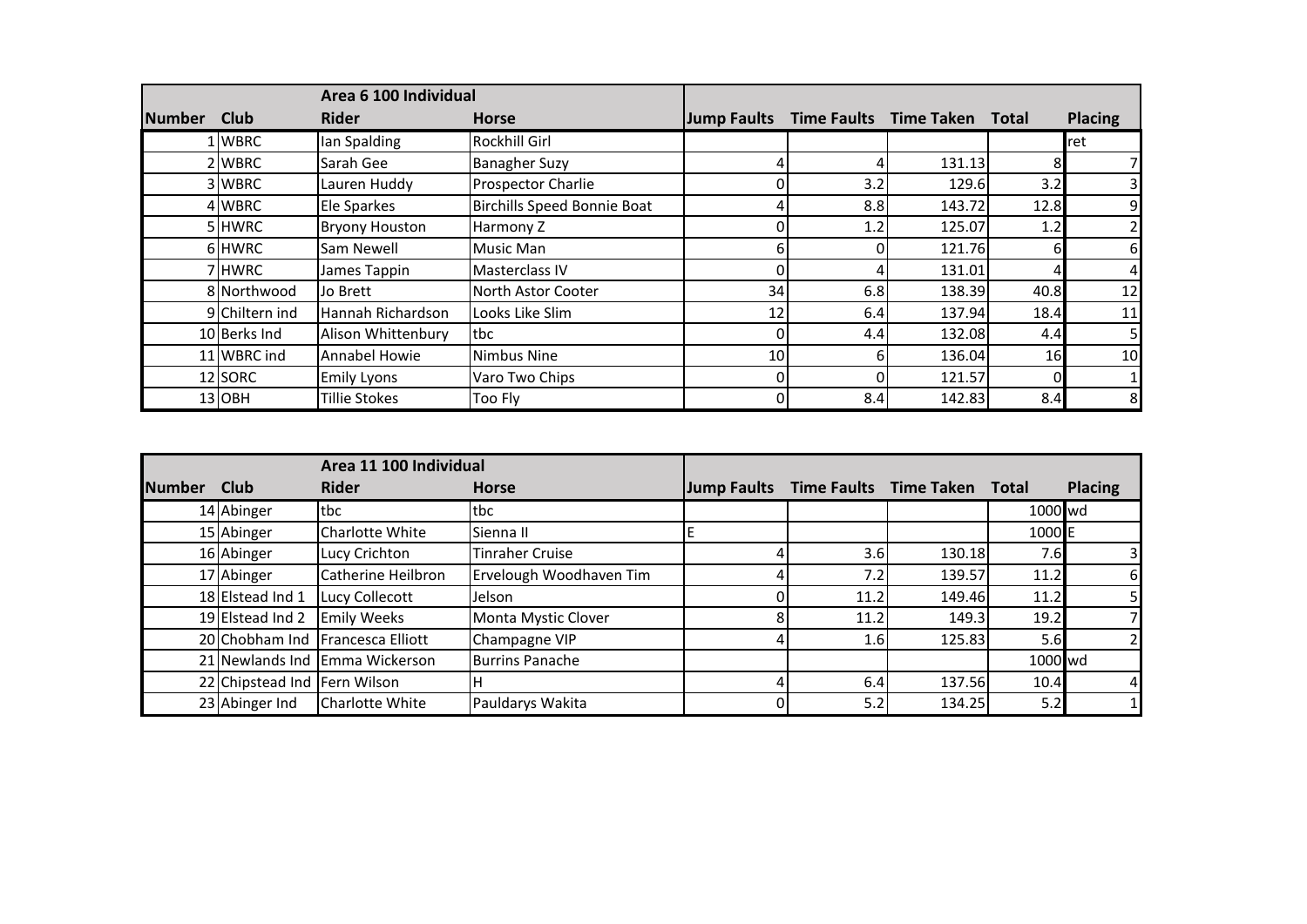|               |                | Area 6 100 Individual |                             |                 |     |                              |      |                |
|---------------|----------------|-----------------------|-----------------------------|-----------------|-----|------------------------------|------|----------------|
| <b>Number</b> | <b>Club</b>    | <b>Rider</b>          | <b>Horse</b>                | Jump Faults     |     | Time Faults Time Taken Total |      | <b>Placing</b> |
|               | L WBRC         | lan Spalding          | <b>Rockhill Girl</b>        |                 |     |                              |      | lret           |
|               | 2 WBRC         | Sarah Gee             | <b>Banagher Suzy</b>        |                 |     | 131.13                       | 8    |                |
|               | 3 WBRC         | Lauren Huddy          | <b>Prospector Charlie</b>   |                 | 3.2 | 129.6                        | 3.2  | 3              |
|               | 4 WBRC         | Ele Sparkes           | Birchills Speed Bonnie Boat |                 | 8.8 | 143.72                       | 12.8 | $\overline{9}$ |
|               | 5 HWRC         | <b>Bryony Houston</b> | Harmony Z                   |                 | 1.2 | 125.07                       | 1.2  | 2              |
|               | 6 HWRC         | Sam Newell            | Music Man                   | 61              |     | 121.76                       | 6    | $6 \mid$       |
|               | 7 HWRC         | James Tappin          | Masterclass IV              | ΩI              |     | 131.01                       |      | 4              |
|               | 8 Northwood    | Jo Brett              | North Astor Cooter          | 34              | 6.8 | 138.39                       | 40.8 | 12             |
|               | 9 Chiltern ind | Hannah Richardson     | Looks Like Slim             | 12              | 6.4 | 137.94                       | 18.4 | 11             |
|               | 10 Berks Ind   | Alison Whittenbury    | tbc                         |                 | 4.4 | 132.08                       | 4.4  | 5 <sub>l</sub> |
|               | 11 WBRC ind    | Annabel Howie         | Nimbus Nine                 | 10 <sup>1</sup> |     | 136.04                       | 16   | 10             |
|               | 12 SORC        | <b>Emily Lyons</b>    | Varo Two Chips              |                 |     | 121.57                       |      |                |
|               | 13OBH          | <b>Tillie Stokes</b>  | Too Fly                     | ΩI              | 8.4 | 142.83                       | 8.4  | 8              |

|               |                              | Area 11 100 Individual |                         |                    |                  |                              |                   |                |
|---------------|------------------------------|------------------------|-------------------------|--------------------|------------------|------------------------------|-------------------|----------------|
| <b>Number</b> | <b>Club</b>                  | <b>Rider</b>           | <b>Horse</b>            | <b>Jump Faults</b> |                  | Time Faults Time Taken Total |                   | <b>Placing</b> |
|               | 14 Abinger                   | tbc                    | tbc                     |                    |                  |                              | 1000 wd           |                |
|               | 15 Abinger                   | <b>Charlotte White</b> | Sienna II               |                    |                  |                              | 1000 <sub>E</sub> |                |
|               | 16 Abinger                   | Lucy Crichton          | <b>Tinraher Cruise</b>  |                    | 3.6              | 130.18                       | 7.6               |                |
|               | 17 Abinger                   | Catherine Heilbron     | Ervelough Woodhaven Tim |                    | 7.2              | 139.57                       | 11.2              | h              |
|               | 18 Elstead Ind 1             | Lucy Collecott         | Jelson                  |                    | 11.2             | 149.46                       | 11.2              |                |
|               | 19 Elstead Ind 2             | <b>Emily Weeks</b>     | Monta Mystic Clover     |                    | 11.2             | 149.3                        | 19.2              |                |
|               | 20 Chobham Ind               | Francesca Elliott      | Champagne VIP           |                    | 1.6 <sub>l</sub> | 125.83                       | 5.6               |                |
|               | 21 Newlands Ind              | Emma Wickerson         | <b>Burrins Panache</b>  |                    |                  |                              | 1000 wd           |                |
|               | 22 Chipstead Ind Fern Wilson |                        |                         |                    | 6.4              | 137.56                       | 10.4              |                |
|               | 23 Abinger Ind               | <b>Charlotte White</b> | Pauldarys Wakita        |                    | 5.2              | 134.25                       | 5.2               |                |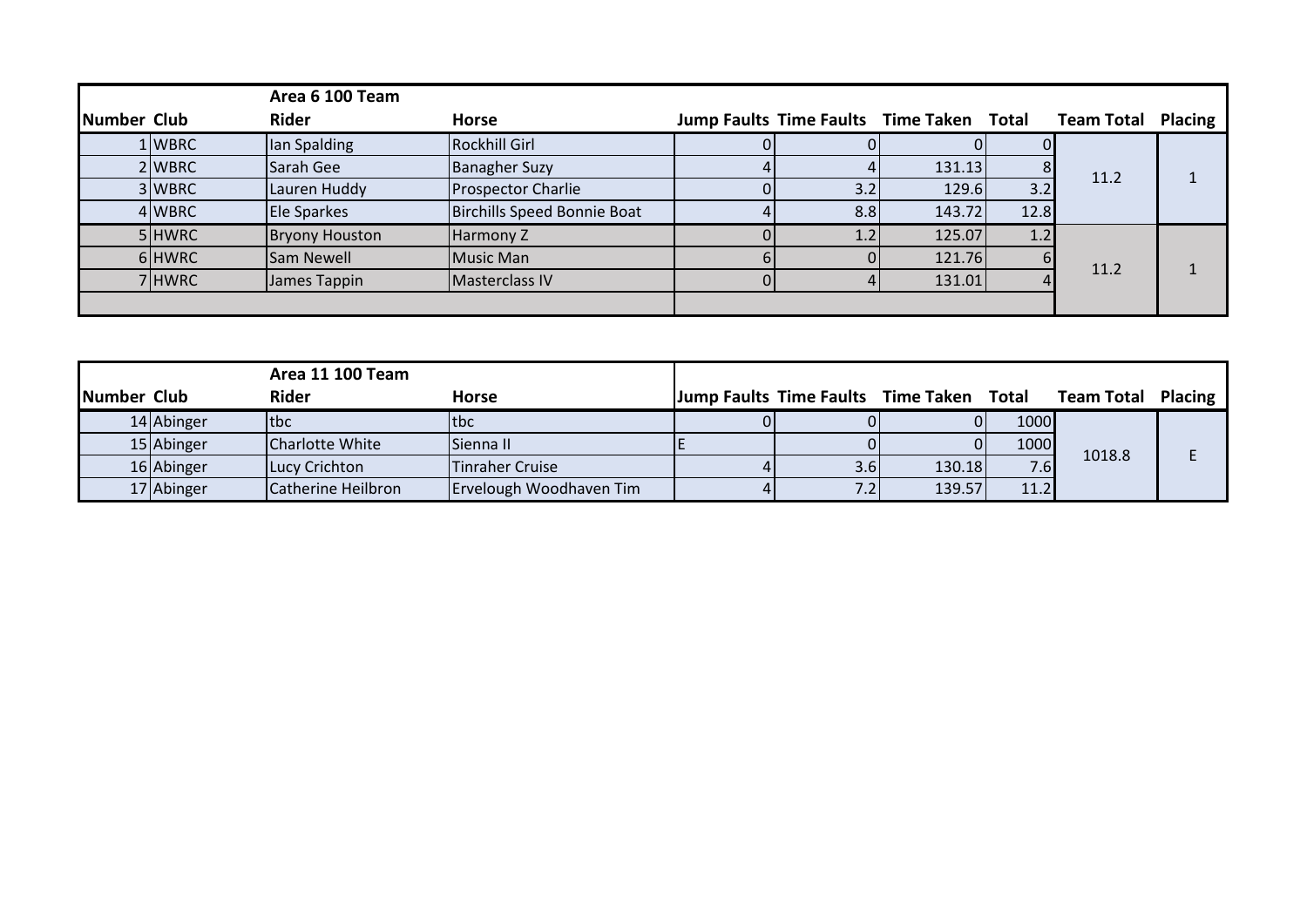|             |        | Area 6 100 Team       |                             |                                          |        |      |                   |                |
|-------------|--------|-----------------------|-----------------------------|------------------------------------------|--------|------|-------------------|----------------|
| Number Club |        | <b>Rider</b>          | <b>Horse</b>                | Jump Faults Time Faults Time Taken Total |        |      | <b>Team Total</b> | <b>Placing</b> |
|             | L WBRC | Ian Spalding          | <b>Rockhill Girl</b>        |                                          |        |      |                   |                |
|             | 2WBRC  | Sarah Gee             | <b>Banagher Suzy</b>        |                                          | 131.13 | 8    |                   |                |
|             | 3 WBRC | Lauren Huddy          | <b>Prospector Charlie</b>   | 3.2                                      | 129.6  | 3.2  | 11.2              |                |
|             | 4 WBRC | Ele Sparkes           | Birchills Speed Bonnie Boat | 8.8                                      | 143.72 | 12.8 |                   |                |
|             | 5 HWRC | <b>Bryony Houston</b> | Harmony Z                   | 1.2                                      | 125.07 | 1.2  |                   |                |
|             | 6HWRC  | Sam Newell            | Music Man                   |                                          | 121.76 |      |                   |                |
|             | 7HWRC  | James Tappin          | Masterclass IV              |                                          | 131.01 |      | 11.2              |                |
|             |        |                       |                             |                                          |        |      |                   |                |

|             | <b>Area 11 100 Team</b> |                    |                         |     |                                          |                  |                           |  |
|-------------|-------------------------|--------------------|-------------------------|-----|------------------------------------------|------------------|---------------------------|--|
| Number Club |                         | <b>Rider</b>       | <b>Horse</b>            |     | Jump Faults Time Faults Time Taken Total |                  | <b>Team Total Placing</b> |  |
|             | 14 Abinger              | tbc                | ltbc                    |     |                                          | 1000             |                           |  |
|             | 15 Abinger              | Charlotte White    | Sienna II               |     |                                          | 1000             | 1018.8                    |  |
|             | 16 Abinger              | Lucy Crichton      | <b>Tinraher Cruise</b>  | 3.6 | 130.18                                   | 7.6 <sub>l</sub> |                           |  |
|             | 17 Abinger              | Catherine Heilbron | Ervelough Woodhaven Tim | 7.2 | 139.57                                   | 11.2             |                           |  |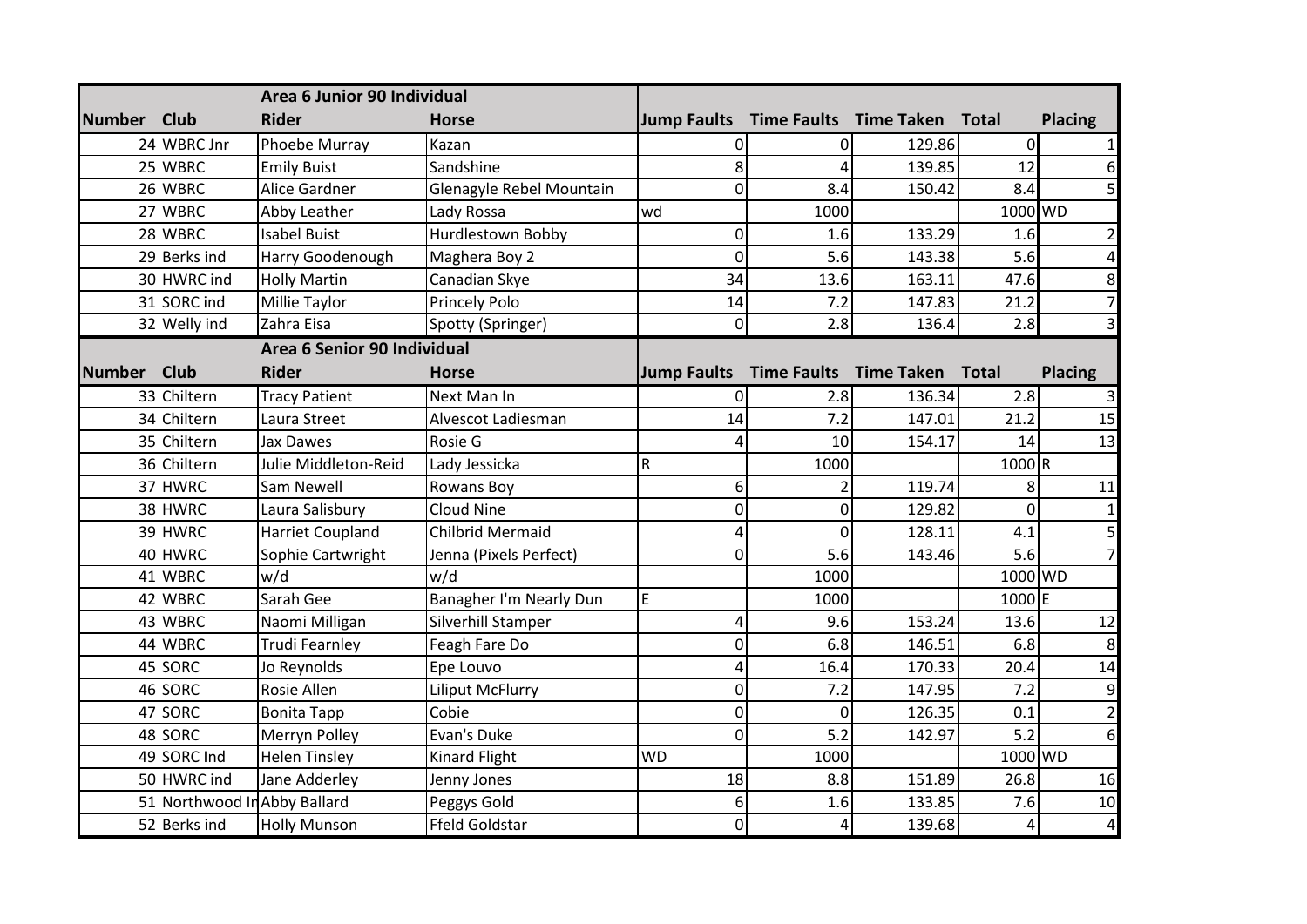|               |                              | Area 6 Junior 90 Individual |                          |                                          |                |                              |                  |                         |
|---------------|------------------------------|-----------------------------|--------------------------|------------------------------------------|----------------|------------------------------|------------------|-------------------------|
| <b>Number</b> | <b>Club</b>                  | <b>Rider</b>                | <b>Horse</b>             | Jump Faults Time Faults Time Taken Total |                |                              |                  | <b>Placing</b>          |
|               | 24 WBRC Jnr                  | Phoebe Murray               | Kazan                    | 0                                        | 0              | 129.86                       | $\Omega$         | $1\vert$                |
|               | 25 WBRC                      | <b>Emily Buist</b>          | Sandshine                | 8                                        | 4              | 139.85                       | 12               | 6                       |
|               | 26 WBRC                      | Alice Gardner               | Glenagyle Rebel Mountain | 0                                        | 8.4            | 150.42                       | 8.4              | 5 <sup>1</sup>          |
|               | 27 WBRC                      | Abby Leather                | Lady Rossa               | wd                                       | 1000           |                              | 1000 WD          |                         |
|               | 28 WBRC                      | <b>Isabel Buist</b>         | Hurdlestown Bobby        | 0                                        | 1.6            | 133.29                       | 1.6              | $\overline{2}$          |
|               | 29 Berks ind                 | Harry Goodenough            | Maghera Boy 2            | 0                                        | 5.6            | 143.38                       | 5.6              | $\overline{4}$          |
|               | 30 HWRC ind                  | <b>Holly Martin</b>         | Canadian Skye            | 34                                       | 13.6           | 163.11                       | 47.6             | 8 <sup>1</sup>          |
|               | 31 SORC ind                  | Millie Taylor               | <b>Princely Polo</b>     | 14                                       | 7.2            | 147.83                       | 21.2             | $\overline{7}$          |
|               | 32 Welly ind                 | Zahra Eisa                  | Spotty (Springer)        | 0                                        | 2.8            | 136.4                        | 2.8              | $\overline{\mathbf{3}}$ |
|               |                              | Area 6 Senior 90 Individual |                          |                                          |                |                              |                  |                         |
| <b>Number</b> | <b>Club</b>                  | <b>Rider</b>                | <b>Horse</b>             | <b>Jump Faults</b>                       |                | Time Faults Time Taken Total |                  | <b>Placing</b>          |
|               | 33 Chiltern                  | <b>Tracy Patient</b>        | Next Man In              | 0                                        | 2.8            | 136.34                       | 2.8              | 3 <sup>l</sup>          |
|               | 34 Chiltern                  | Laura Street                | Alvescot Ladiesman       | 14                                       | 7.2            | 147.01                       | 21.2             | 15                      |
|               | 35 Chiltern                  | <b>Jax Dawes</b>            | Rosie G                  | 4                                        | 10             | 154.17                       | 14               | 13                      |
|               | 36 Chiltern                  | Julie Middleton-Reid        | Lady Jessicka            | R                                        | 1000           |                              | $1000$ R         |                         |
|               | 37 HWRC                      | Sam Newell                  | <b>Rowans Boy</b>        | 6                                        |                | 119.74                       | 8                | 11                      |
|               | 38 HWRC                      | Laura Salisbury             | Cloud Nine               | 0                                        | 0              | 129.82                       | $\mathbf 0$      | $1\vert$                |
|               | 39 HWRC                      | <b>Harriet Coupland</b>     | <b>Chilbrid Mermaid</b>  | 4                                        | $\overline{0}$ | 128.11                       | 4.1              | $\overline{5}$          |
|               | 40 HWRC                      | Sophie Cartwright           | Jenna (Pixels Perfect)   | $\overline{0}$                           | 5.6            | 143.46                       | 5.6              | $\overline{7}$          |
|               | 41 WBRC                      | w/d                         | w/d                      |                                          | 1000           |                              | $1000 \sqrt{VD}$ |                         |
|               | 42 WBRC                      | Sarah Gee                   | Banagher I'm Nearly Dun  | E                                        | 1000           |                              | 1000E            |                         |
|               | 43 WBRC                      | Naomi Milligan              | Silverhill Stamper       | 4                                        | 9.6            | 153.24                       | 13.6             | 12                      |
|               | 44 WBRC                      | Trudi Fearnley              | Feagh Fare Do            | 0                                        | 6.8            | 146.51                       | 6.8              | 8 <sup>1</sup>          |
|               | 45 SORC                      | Jo Reynolds                 | Epe Louvo                | 4                                        | 16.4           | 170.33                       | 20.4             | 14                      |
|               | 46 SORC                      | Rosie Allen                 | <b>Liliput McFlurry</b>  | 0                                        | 7.2            | 147.95                       | 7.2              | $\overline{9}$          |
|               | 47 SORC                      | <b>Bonita Tapp</b>          | Cobie                    | 0                                        | $\mathbf 0$    | 126.35                       | 0.1              | $\overline{2}$          |
|               | 48 SORC                      | Merryn Polley               | Evan's Duke              | 0                                        | 5.2            | 142.97                       | 5.2              | 6                       |
|               | 49 SORC Ind                  | <b>Helen Tinsley</b>        | <b>Kinard Flight</b>     | <b>WD</b>                                | 1000           |                              | 1000 WD          |                         |
|               | 50 HWRC ind                  | Jane Adderley               | Jenny Jones              | 18                                       | 8.8            | 151.89                       | 26.8             | 16                      |
|               | 51 Northwood In Abby Ballard |                             | Peggys Gold              | 6                                        | 1.6            | 133.85                       | 7.6              | 10                      |
|               | 52 Berks ind                 | <b>Holly Munson</b>         | <b>Ffeld Goldstar</b>    | 0                                        | 4              | 139.68                       | 4                | $\overline{4}$          |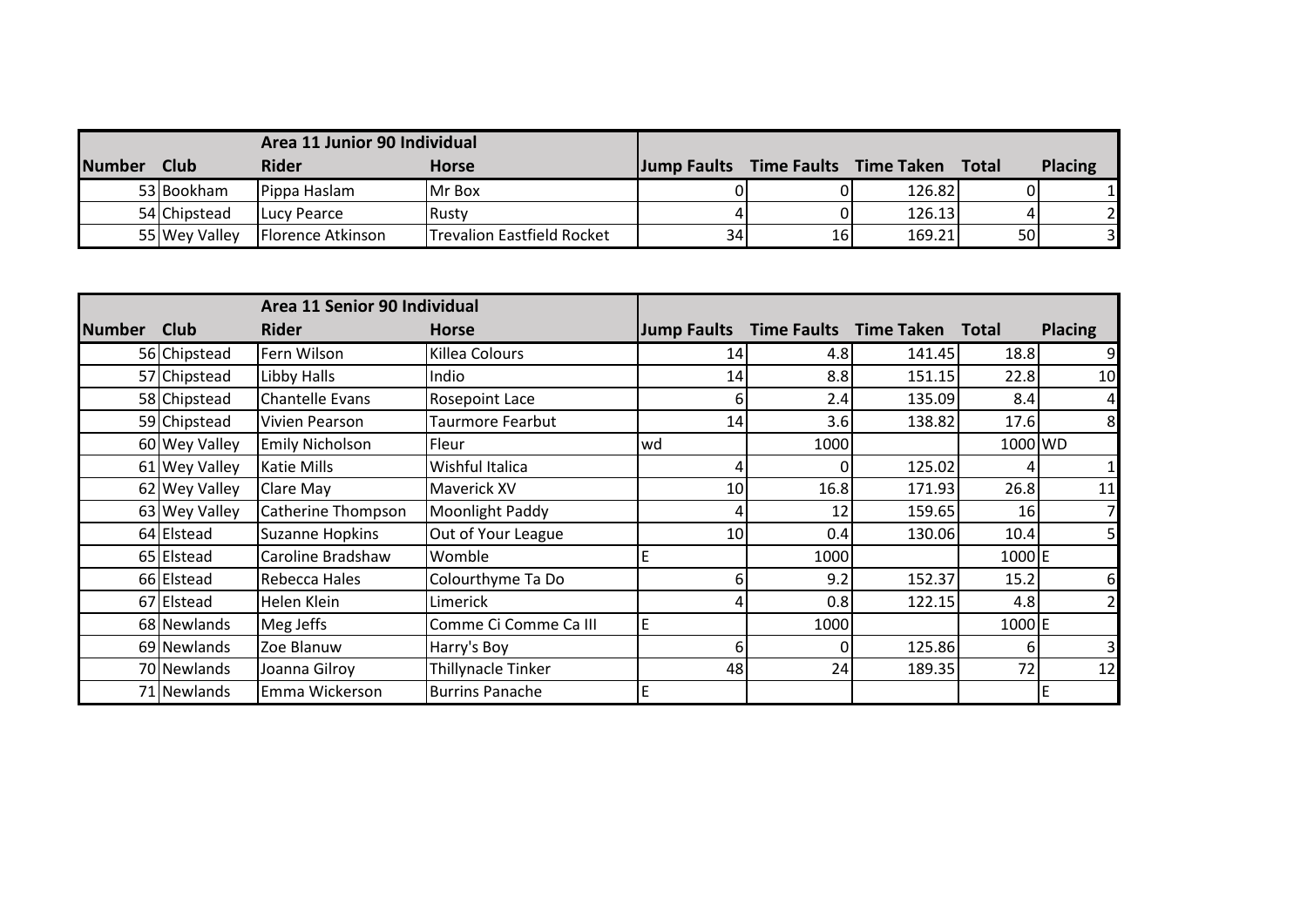|               | Area 11 Junior 90 Individual |                   |                            |                                    |      |        |              |                |
|---------------|------------------------------|-------------------|----------------------------|------------------------------------|------|--------|--------------|----------------|
| <b>Number</b> | <b>Club</b>                  | <b>Rider</b>      | <b>Horse</b>               | Jump Faults Time Faults Time Taken |      |        | <b>Total</b> | <b>Placing</b> |
|               | 53 Bookham                   | Pippa Haslam      | <b>IMr Box</b>             |                                    |      | 126.82 |              |                |
|               | 54 Chipstead                 | Lucy Pearce       | IRustv                     |                                    |      | 126.13 |              |                |
|               | 55 Wey Valley                | Florence Atkinson | Trevalion Eastfield Rocket | 34                                 | 16 I | 169.21 | 50           |                |

|               |               | Area 11 Senior 90 Individual |                        |                    |                    |                   |                 |                |
|---------------|---------------|------------------------------|------------------------|--------------------|--------------------|-------------------|-----------------|----------------|
| <b>Number</b> | <b>Club</b>   | <b>Rider</b>                 | <b>Horse</b>           | <b>Jump Faults</b> | <b>Time Faults</b> | <b>Time Taken</b> | <b>Total</b>    | <b>Placing</b> |
|               | 56 Chipstead  | Fern Wilson                  | Killea Colours         | 14                 | 4.8                | 141.45            | 18.8            |                |
|               | 57 Chipstead  | Libby Halls                  | Indio                  | 14                 | 8.8                | 151.15            | 22.8            | 10             |
|               | 58 Chipstead  | <b>Chantelle Evans</b>       | <b>Rosepoint Lace</b>  | h                  | 2.4                | 135.09            | 8.4             | 4              |
|               | 59 Chipstead  | Vivien Pearson               | Taurmore Fearbut       | 14                 | 3.6                | 138.82            | 17.6            | 8              |
|               | 60 Wey Valley | <b>Emily Nicholson</b>       | Fleur                  | lwd                | 1000               |                   | 1000 WD         |                |
|               | 61 Wey Valley | <b>Katie Mills</b>           | Wishful Italica        |                    |                    | 125.02            |                 |                |
|               | 62 Wey Valley | Clare May                    | <b>Maverick XV</b>     | 10 <sup>1</sup>    | 16.8               | 171.93            | 26.8            | 11             |
|               | 63 Wey Valley | Catherine Thompson           | Moonlight Paddy        |                    | 12                 | 159.65            | 16 <sup>l</sup> |                |
|               | 64 Elstead    | <b>Suzanne Hopkins</b>       | Out of Your League     | 10 <sub>1</sub>    | 0.4                | 130.06            | 10.4            |                |
|               | 65 Elstead    | Caroline Bradshaw            | Womble                 |                    | 1000               |                   | 1000 E          |                |
|               | 66 Elstead    | <b>Rebecca Hales</b>         | Colourthyme Ta Do      | 6                  | 9.2                | 152.37            | 15.2            | 6              |
|               | 67 Elstead    | Helen Klein                  | Limerick               |                    | 0.8                | 122.15            | 4.8             |                |
|               | 68 Newlands   | Meg Jeffs                    | Comme Ci Comme Ca III  | E                  | 1000               |                   | 1000 E          |                |
|               | 69 Newlands   | Zoe Blanuw                   | Harry's Boy            | 6                  |                    | 125.86            | 61              |                |
|               | 70 Newlands   | Joanna Gilroy                | Thillynacle Tinker     | 48                 | 24                 | 189.35            | 72              | 12             |
|               | 71 Newlands   | Emma Wickerson               | <b>Burrins Panache</b> | F                  |                    |                   |                 |                |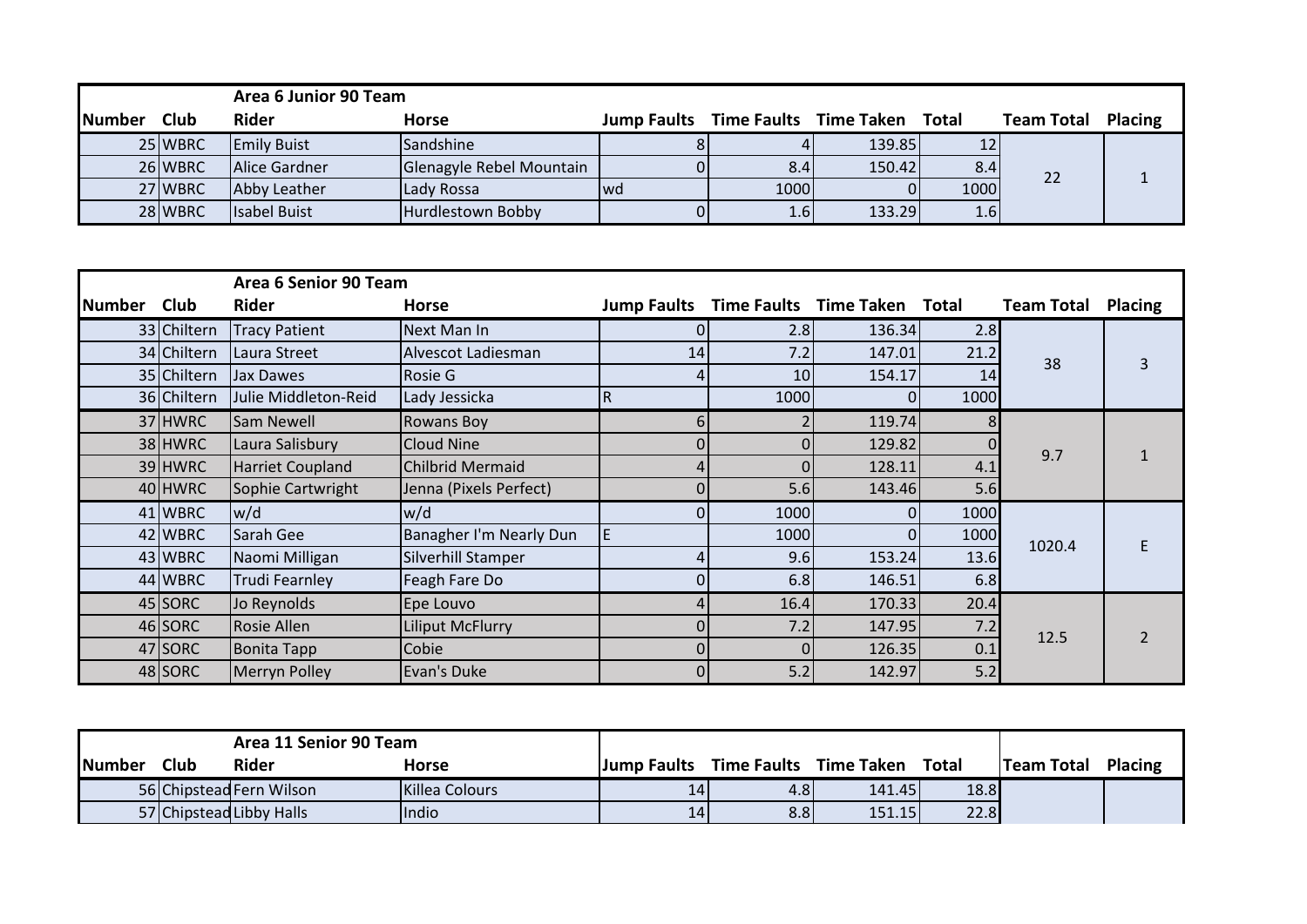|               |             | Area 6 Junior 90 Team |                          |     |               |                                          |               |                   |                |
|---------------|-------------|-----------------------|--------------------------|-----|---------------|------------------------------------------|---------------|-------------------|----------------|
| <b>Number</b> | <b>Club</b> | <b>Rider</b>          | <b>Horse</b>             |     |               | Jump Faults Time Faults Time Taken Total |               | <b>Team Total</b> | <b>Placing</b> |
|               | 25 WBRC     | <b>Emily Buist</b>    | Sandshine                |     |               | 139.85                                   |               |                   |                |
|               | 26 WBRC     | Alice Gardner         | Glenagyle Rebel Mountain |     | 8.4           | 150.42                                   | 8.4           |                   |                |
|               | 27 WBRC     | Abby Leather          | Lady Rossa               | Iwd | 1000          |                                          | 1000          | 22                |                |
|               | 28 WBRC     | <b>Isabel Buist</b>   | Hurdlestown Bobby        |     | $4.6^{\circ}$ | 133.29                                   | $4.6^{\circ}$ |                   |                |

|               |             | Area 6 Senior 90 Team   |                         |                    |      |                              |      |                   |                |
|---------------|-------------|-------------------------|-------------------------|--------------------|------|------------------------------|------|-------------------|----------------|
| <b>Number</b> | <b>Club</b> | <b>Rider</b>            | <b>Horse</b>            | <b>Jump Faults</b> |      | Time Faults Time Taken Total |      | <b>Team Total</b> | <b>Placing</b> |
|               | 33 Chiltern | <b>Tracy Patient</b>    | Next Man In             | 0                  | 2.8  | 136.34                       | 2.8  |                   |                |
|               | 34 Chiltern | Laura Street            | Alvescot Ladiesman      | 14                 | 7.2  | 147.01                       | 21.2 | 38                | 3              |
|               | 35 Chiltern | Jax Dawes               | Rosie G                 |                    | 10   | 154.17                       | 14   |                   |                |
|               | 36 Chiltern | Julie Middleton-Reid    | Lady Jessicka           | $\overline{R}$     | 1000 |                              | 1000 |                   |                |
|               | 37 HWRC     | Sam Newell              | <b>Rowans Boy</b>       | $6 \mid$           |      | 119.74                       |      |                   |                |
|               | 38 HWRC     | Laura Salisbury         | Cloud Nine              | 01                 |      | 129.82                       |      | 9.7               |                |
|               | 39 HWRC     | <b>Harriet Coupland</b> | <b>Chilbrid Mermaid</b> | $\left 4\right $   |      | 128.11                       | 4.1  |                   |                |
|               | 40 HWRC     | Sophie Cartwright       | Jenna (Pixels Perfect)  | $\Omega$           | 5.6  | 143.46                       | 5.6  |                   |                |
|               | 41 WBRC     | w/d                     | w/d                     | $\Omega$           | 1000 | $\Omega$                     | 1000 |                   |                |
|               | 42 WBRC     | Sarah Gee               | Banagher I'm Nearly Dun |                    | 1000 | $\Omega$                     | 1000 | 1020.4            |                |
|               | 43 WBRC     | Naomi Milligan          | Silverhill Stamper      |                    | 9.6  | 153.24                       | 13.6 |                   |                |
|               | 44 WBRC     | <b>Trudi Fearnley</b>   | Feagh Fare Do           | $\Omega$           | 6.8  | 146.51                       | 6.8  |                   |                |
|               | 45 SORC     | Jo Reynolds             | Epe Louvo               | $\left 4\right $   | 16.4 | 170.33                       | 20.4 |                   |                |
|               | 46 SORC     | <b>Rosie Allen</b>      | <b>Liliput McFlurry</b> | 0                  | 7.2  | 147.95                       | 7.2  | 12.5              |                |
|               | 47 SORC     | <b>Bonita Tapp</b>      | Cobie                   | $\overline{0}$     |      | 126.35                       | 0.1  |                   |                |
|               | 48 SORC     | <b>Merryn Polley</b>    | Evan's Duke             | $\overline{0}$     | 5.2  | 142.97                       | 5.2  |                   |                |

| Area 11 Senior 90 Team |             |                          |                |                    |                        |        |       |                   |                |
|------------------------|-------------|--------------------------|----------------|--------------------|------------------------|--------|-------|-------------------|----------------|
| <b>Number</b>          | <b>Club</b> | <b>Rider</b>             | Horse          | <b>Jump Faults</b> | Time Faults Time Taken |        | Total | <b>Team Total</b> | <b>Placing</b> |
|                        |             | 56 Chipstead Fern Wilson | Killea Colours | $14^{\circ}$       | 4.81                   | 141.45 | 18.8  |                   |                |
|                        |             | 57 Chipstead Libby Halls | <b>Indio</b>   | 14                 | 8.8 <sub>l</sub>       | 151.15 | 22.8  |                   |                |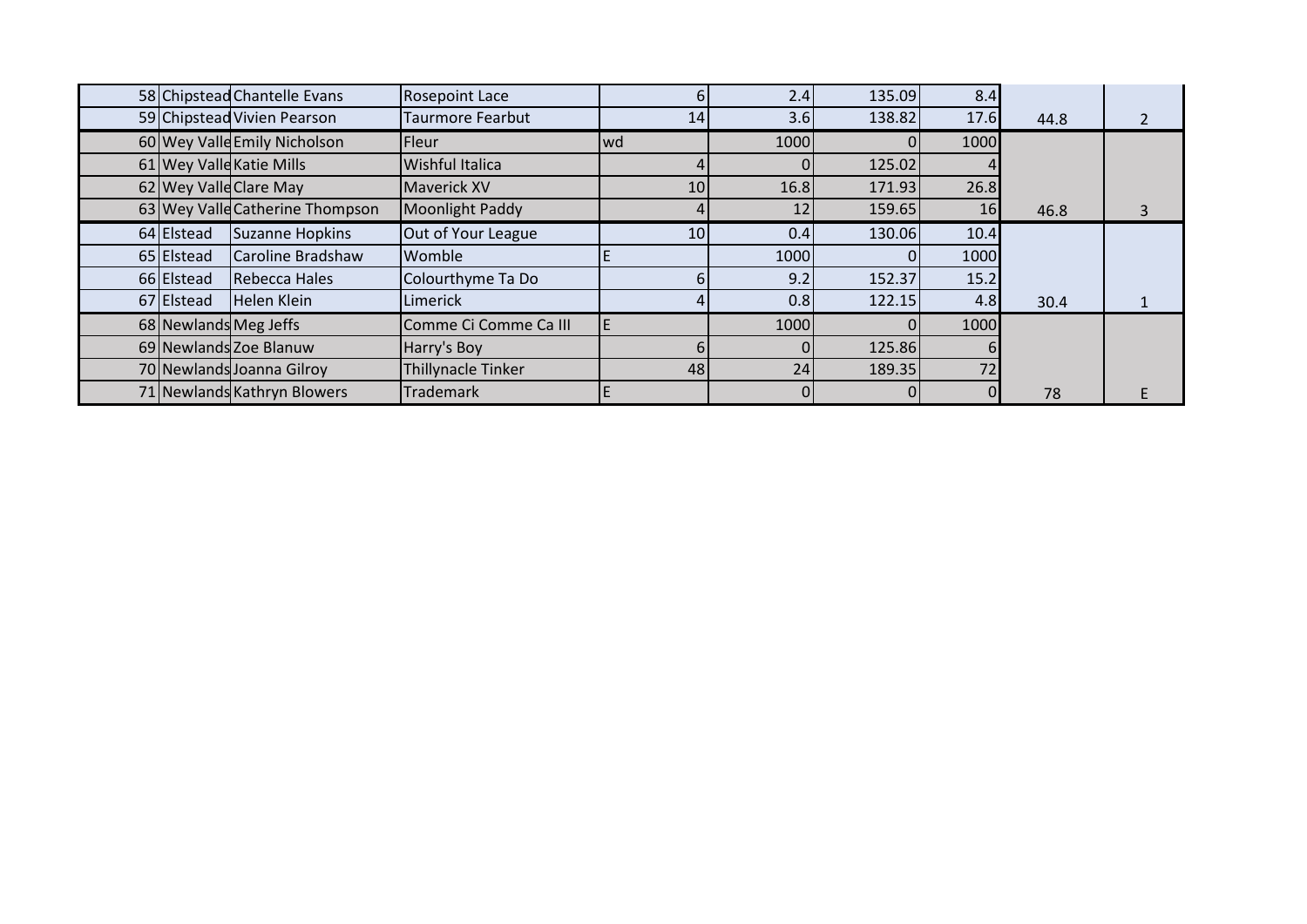|            | 58 Chipstead Chantelle Evans    | <b>Rosepoint Lace</b>     |      | 2.4  | 135.09   | 8.4  |      |  |
|------------|---------------------------------|---------------------------|------|------|----------|------|------|--|
|            | 59 Chipstead Vivien Pearson     | <b>Taurmore Fearbut</b>   | 14   | 3.6  | 138.82   | 17.6 | 44.8 |  |
|            | 60 Wey Valle Emily Nicholson    | Fleur                     | lwd. | 1000 | 0        | 1000 |      |  |
|            | 61 Wey Valle Katie Mills        | Wishful Italica           |      |      | 125.02   |      |      |  |
|            | 62 Wey Valle Clare May          | <b>Maverick XV</b>        | 10   | 16.8 | 171.93   | 26.8 |      |  |
|            | 63 Wey Valle Catherine Thompson | Moonlight Paddy           |      | 12   | 159.65   | 16   | 46.8 |  |
| 64 Elstead | Suzanne Hopkins                 | Out of Your League        | 10   | 0.4  | 130.06   | 10.4 |      |  |
| 65 Elstead | Caroline Bradshaw               | Womble                    |      | 1000 | $\Omega$ | 1000 |      |  |
| 66 Elstead | Rebecca Hales                   | Colourthyme Ta Do         |      | 9.2  | 152.37   | 15.2 |      |  |
| 67 Elstead | <b>Helen Klein</b>              | Limerick                  |      | 0.8  | 122.15   | 4.8  | 30.4 |  |
|            | 68 Newlands Meg Jeffs           | Comme Ci Comme Ca III     |      | 1000 | $\Omega$ | 1000 |      |  |
|            | 69 Newlands Zoe Blanuw          | Harry's Boy               |      |      | 125.86   |      |      |  |
|            | 70 Newlands Joanna Gilroy       | <b>Thillynacle Tinker</b> | 48   | 24   | 189.35   | 72   |      |  |
|            | 71 Newlands Kathryn Blowers     | <b>Trademark</b>          |      |      |          |      | 78   |  |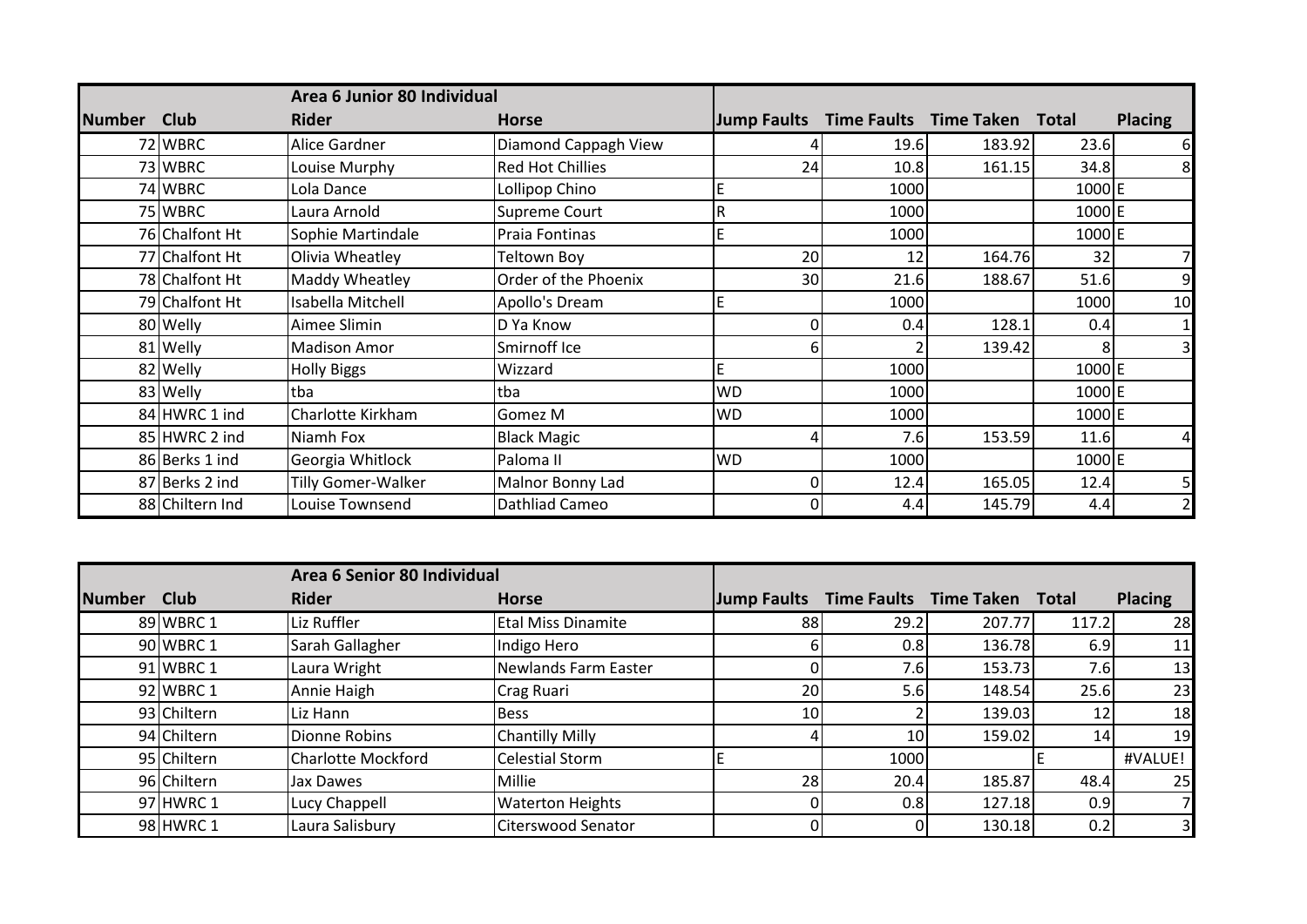|               |                 | Area 6 Junior 80 Individual |                         |                    |                              |        |        |                |
|---------------|-----------------|-----------------------------|-------------------------|--------------------|------------------------------|--------|--------|----------------|
| <b>Number</b> | Club            | <b>Rider</b>                | <b>Horse</b>            | <b>Jump Faults</b> | Time Faults Time Taken Total |        |        | <b>Placing</b> |
|               | 72 WBRC         | Alice Gardner               | Diamond Cappagh View    |                    | 19.6                         | 183.92 | 23.6   | 6              |
|               | 73 WBRC         | Louise Murphy               | <b>Red Hot Chillies</b> | 24                 | 10.8                         | 161.15 | 34.8   | 8              |
|               | 74 WBRC         | Lola Dance                  | Lollipop Chino          |                    | 1000                         |        | 1000 E |                |
|               | 75 WBRC         | Laura Arnold                | Supreme Court           | R                  | 1000                         |        | 1000 E |                |
|               | 76 Chalfont Ht  | Sophie Martindale           | Praia Fontinas          |                    | 1000                         |        | 1000 E |                |
|               | 77 Chalfont Ht  | Olivia Wheatley             | Teltown Boy             | 20                 | 12                           | 164.76 | 32     | 7              |
|               | 78 Chalfont Ht  | Maddy Wheatley              | Order of the Phoenix    | 30                 | 21.6                         | 188.67 | 51.6   | 9              |
|               | 79 Chalfont Ht  | Isabella Mitchell           | Apollo's Dream          |                    | 1000                         |        | 1000   | 10             |
|               | 80 Welly        | Aimee Slimin                | D Ya Know               |                    | 0.4                          | 128.1  | 0.4    | 1              |
|               | 81 Welly        | <b>Madison Amor</b>         | Smirnoff Ice            | 6                  |                              | 139.42 |        | 3              |
|               | 82 Welly        | <b>Holly Biggs</b>          | Wizzard                 |                    | 1000                         |        | 1000 E |                |
|               | 83 Welly        | tba                         | tba                     | <b>WD</b>          | 1000                         |        | 1000 E |                |
|               | 84 HWRC 1 ind   | Charlotte Kirkham           | Gomez M                 | <b>WD</b>          | 1000                         |        | 1000 E |                |
|               | 85 HWRC 2 ind   | Niamh Fox                   | <b>Black Magic</b>      |                    | 7.6                          | 153.59 | 11.6   | 4              |
|               | 86 Berks 1 ind  | Georgia Whitlock            | Paloma <sub>II</sub>    | <b>WD</b>          | 1000                         |        | 1000 E |                |
|               | 87 Berks 2 ind  | Tilly Gomer-Walker          | Malnor Bonny Lad        |                    | 12.4                         | 165.05 | 12.4   | 5              |
|               | 88 Chiltern Ind | Louise Townsend             | Dathliad Cameo          |                    | 4.4                          | 145.79 | 4.4    |                |

|               |             | Area 6 Senior 80 Individual |                           |             |                 |                                     |       |                |
|---------------|-------------|-----------------------------|---------------------------|-------------|-----------------|-------------------------------------|-------|----------------|
| <b>Number</b> | <b>Club</b> | <b>Rider</b>                | <b>Horse</b>              | Jump Faults |                 | <b>Time Faults Time Taken Total</b> |       | <b>Placing</b> |
|               | 89 WBRC 1   | Liz Ruffler                 | <b>Etal Miss Dinamite</b> | 88          | 29.2            | 207.77                              | 117.2 | 28             |
|               | 90 WBRC 1   | Sarah Gallagher             | Indigo Hero               |             | 0.8             | 136.78                              | 6.9   | 11             |
|               | 91 WBRC 1   | Laura Wright                | Newlands Farm Easter      |             | 7.6             | 153.73                              | 7.6   | 13             |
|               | 92 WBRC 1   | Annie Haigh                 | <b>Crag Ruari</b>         | 20          | 5.6             | 148.54                              | 25.6  | 23             |
|               | 93 Chiltern | Liz Hann                    | <b>Bess</b>               | 10          |                 | 139.03                              | 12    | 18             |
|               | 94 Chiltern | Dionne Robins               | <b>Chantilly Milly</b>    |             | 10 <sub>l</sub> | 159.02                              | 14    | 19             |
|               | 95 Chiltern | <b>Charlotte Mockford</b>   | <b>Celestial Storm</b>    |             | 1000            |                                     |       | #VALUE!        |
|               | 96 Chiltern | Jax Dawes                   | Millie                    | 28          | 20.4            | 185.87                              | 48.4  | 25             |
|               | 97 HWRC 1   | Lucy Chappell               | <b>Waterton Heights</b>   |             | 0.8             | 127.18                              | 0.9   |                |
|               | 98 HWRC 1   | Laura Salisbury             | <b>Citerswood Senator</b> |             |                 | 130.18                              | 0.2   | 3 <sub>l</sub> |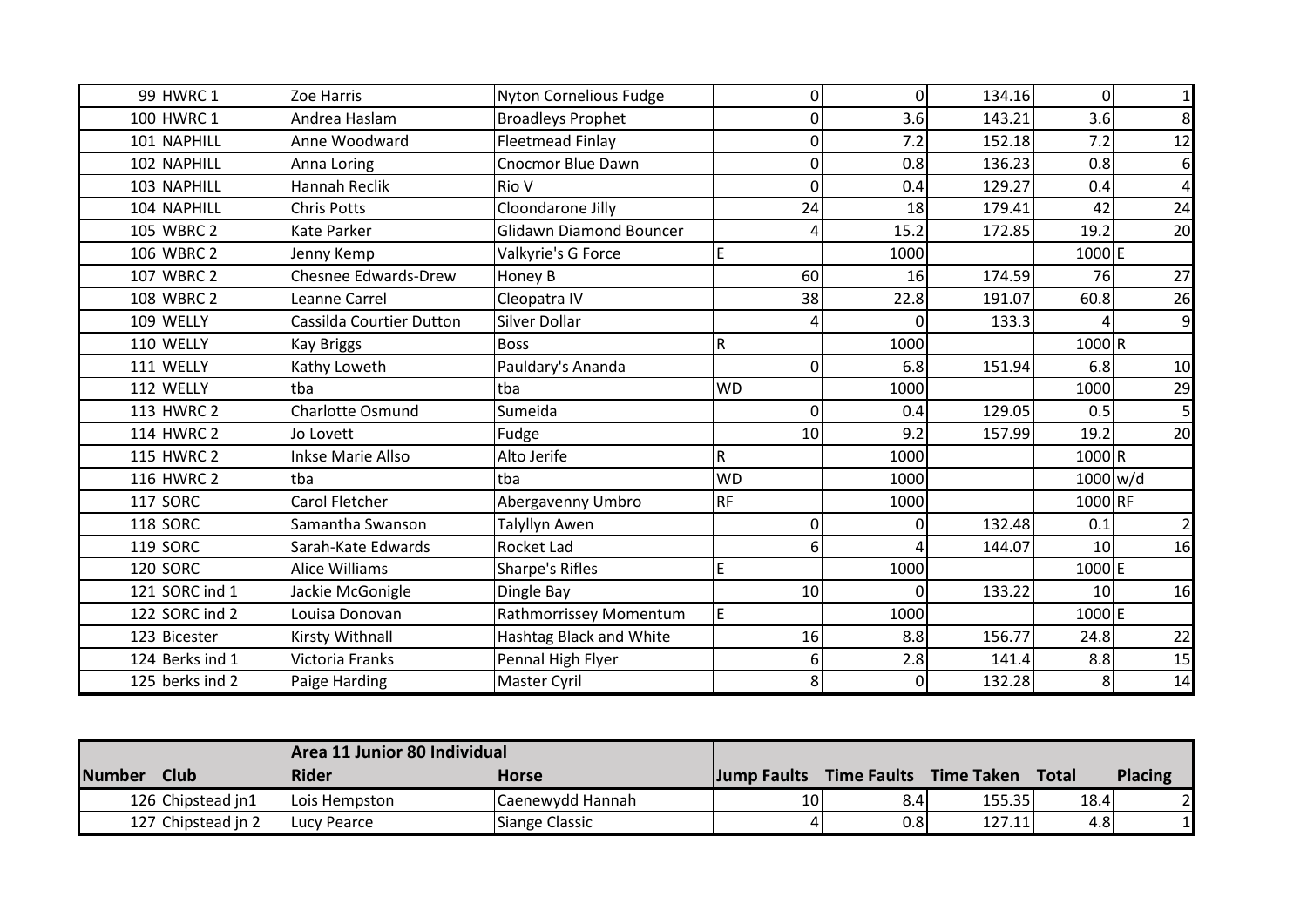| 99 HWRC 1       | Zoe Harris                      | <b>Nyton Cornelious Fudge</b>  | 0         | 0           | 134.16 | $\Omega$        | $\mathbf{1}$            |
|-----------------|---------------------------------|--------------------------------|-----------|-------------|--------|-----------------|-------------------------|
| 100 HWRC 1      | Andrea Haslam                   | <b>Broadleys Prophet</b>       | 0         | 3.6         | 143.21 | 3.6             | 8 <sup>1</sup>          |
| 101 NAPHILL     | Anne Woodward                   | <b>Fleetmead Finlay</b>        | 0         | 7.2         | 152.18 | 7.2             | 12                      |
| 102 NAPHILL     | Anna Loring                     | <b>Cnocmor Blue Dawn</b>       | $\Omega$  | 0.8         | 136.23 | 0.8             | $6 \mid$                |
| 103 NAPHILL     | <b>Hannah Reclik</b>            | Rio V                          | 0         | 0.4         | 129.27 | 0.4             | $\overline{\mathbf{4}}$ |
| 104 NAPHILL     | <b>Chris Potts</b>              | Cloondarone Jilly              | 24        | 18          | 179.41 | 42              | 24                      |
| 105 WBRC 2      | Kate Parker                     | <b>Glidawn Diamond Bouncer</b> |           | 15.2        | 172.85 | 19.2            | 20                      |
| 106 WBRC 2      | Jenny Kemp                      | Valkyrie's G Force             | E         | 1000        |        | 1000 E          |                         |
| 107 WBRC 2      | <b>Chesnee Edwards-Drew</b>     | Honey B                        | 60        | 16          | 174.59 | 76              | 27                      |
| 108 WBRC 2      | Leanne Carrel                   | Cleopatra IV                   | 38        | 22.8        | 191.07 | 60.8            | 26                      |
| 109 WELLY       | <b>Cassilda Courtier Dutton</b> | Silver Dollar                  |           | O           | 133.3  |                 | 9                       |
| 110 WELLY       | <b>Kay Briggs</b>               | <b>Boss</b>                    | R         | 1000        |        | 1000R           |                         |
| 111 WELLY       | Kathy Loweth                    | Pauldary's Ananda              | $\Omega$  | 6.8         | 151.94 | 6.8             | 10                      |
| 112 WELLY       | tba                             | tba                            | <b>WD</b> | 1000        |        | 1000            | 29                      |
| 113 HWRC 2      | <b>Charlotte Osmund</b>         | Sumeida                        | 0         | 0.4         | 129.05 | 0.5             | 5 <sub>l</sub>          |
| 114 HWRC 2      | Jo Lovett                       | Fudge                          | 10        | 9.2         | 157.99 | 19.2            | 20                      |
| 115 HWRC 2      | <b>Inkse Marie Allso</b>        | Alto Jerife                    | R         | 1000        |        | 1000R           |                         |
| 116 HWRC 2      | tba                             | tba                            | <b>WD</b> | 1000        |        | 1000 w/d        |                         |
| $117$ SORC      | Carol Fletcher                  | Abergavenny Umbro              | <b>RF</b> | 1000        |        | 1000 RF         |                         |
| 118 SORC        | Samantha Swanson                | <b>Talyllyn Awen</b>           | 0         | 0           | 132.48 | 0.1             | $\overline{2}$          |
| 119 SORC        | Sarah-Kate Edwards              | Rocket Lad                     | 6         |             | 144.07 | 10 <sup>1</sup> | 16                      |
| 120 SORC        | <b>Alice Williams</b>           | <b>Sharpe's Rifles</b>         | E         | 1000        |        | 1000 E          |                         |
| 121 SORC ind 1  | Jackie McGonigle                | Dingle Bay                     | 10        | 0           | 133.22 | 10              | 16                      |
| 122 SORC ind 2  | Louisa Donovan                  | Rathmorrissey Momentum         | E         | 1000        |        | 1000 E          |                         |
| 123 Bicester    | Kirsty Withnall                 | Hashtag Black and White        | 16        | 8.8         | 156.77 | 24.8            | 22                      |
| 124 Berks ind 1 | Victoria Franks                 | Pennal High Flyer              | 6         | 2.8         | 141.4  | 8.8             | 15                      |
| 125 berks ind 2 | Paige Harding                   | <b>Master Cyril</b>            | 8         | $\mathbf 0$ | 132.28 |                 | 14                      |

|               | Area 11 Junior 80 Individual |                       |                  |             |                    |            |              |         |
|---------------|------------------------------|-----------------------|------------------|-------------|--------------------|------------|--------------|---------|
| <b>Number</b> | Club                         | <b>Rider</b>          | Horse            | Jump Faults | <b>Time Faults</b> | Time Taken | <b>Total</b> | Placing |
|               | 126 Chipstead in 1           | <b>ILois Hempston</b> | Caenewydd Hannah | 10          | 8.4                | 155.35     | 18.4         |         |
|               | 127 Chipstead in 2           | Lucy Pearce           | Siange Classic   |             | 0.8                | 127.11     | 4.8          |         |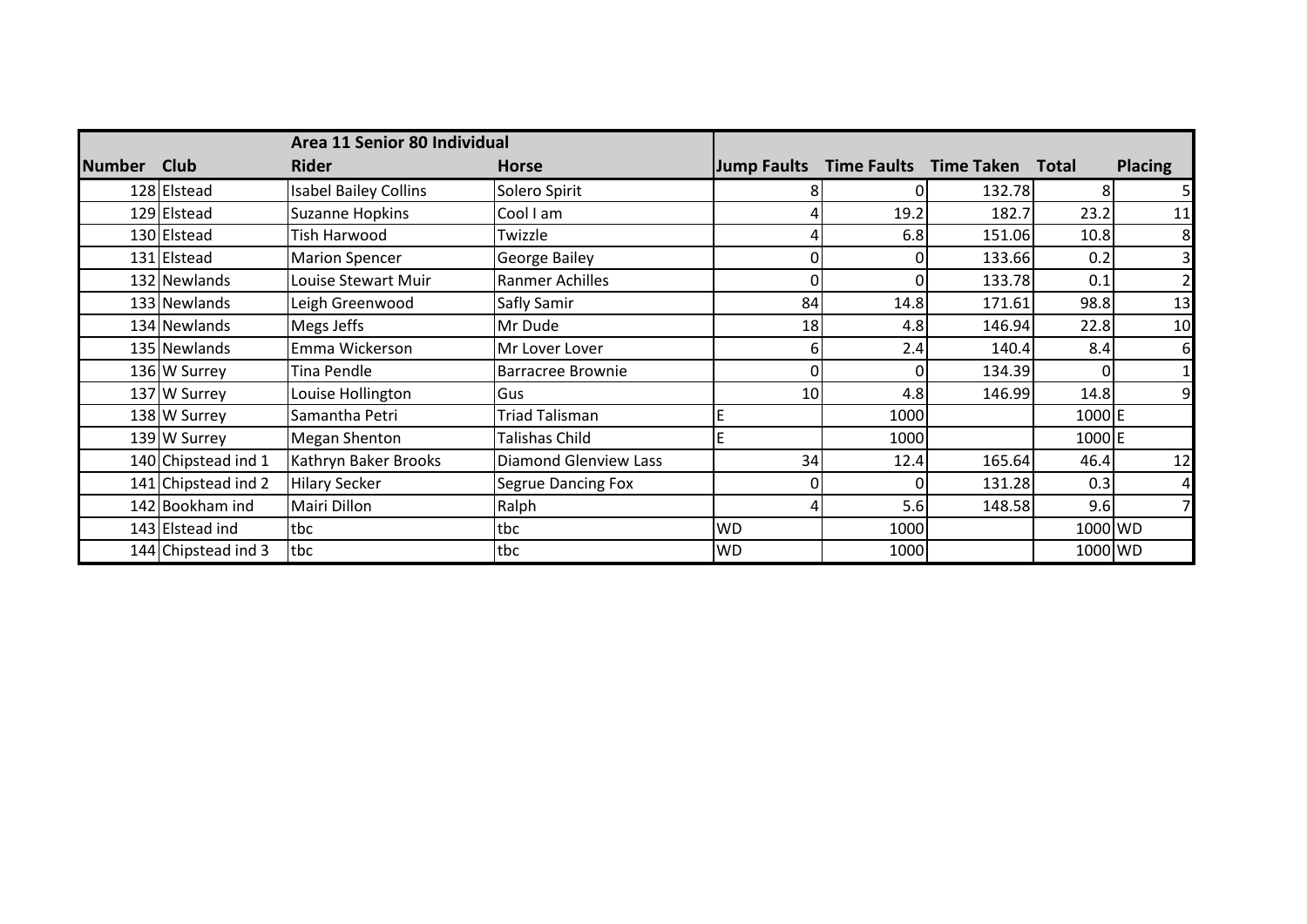|               |                     | Area 11 Senior 80 Individual |                              |                    |                        |        |              |                |
|---------------|---------------------|------------------------------|------------------------------|--------------------|------------------------|--------|--------------|----------------|
| <b>Number</b> | <b>Club</b>         | <b>Rider</b>                 | <b>Horse</b>                 | <b>Jump Faults</b> | Time Faults Time Taken |        | <b>Total</b> | <b>Placing</b> |
|               | 128 Elstead         | <b>Isabel Bailey Collins</b> | Solero Spirit                |                    |                        | 132.78 |              | 51             |
|               | 129 Elstead         | <b>Suzanne Hopkins</b>       | Cool I am                    |                    | 19.2                   | 182.7  | 23.2         | 11             |
|               | 130 Elstead         | Tish Harwood                 | Twizzle                      |                    | 6.8                    | 151.06 | 10.8         | 8              |
|               | 131 Elstead         | <b>Marion Spencer</b>        | <b>George Bailey</b>         |                    | 0                      | 133.66 | 0.2          | 3              |
|               | 132 Newlands        | Louise Stewart Muir          | <b>Ranmer Achilles</b>       |                    | 0                      | 133.78 | 0.1          | $\overline{2}$ |
|               | 133 Newlands        | Leigh Greenwood              | Safly Samir                  | 84                 | 14.8                   | 171.61 | 98.8         | 13             |
|               | 134 Newlands        | Megs Jeffs                   | Mr Dude                      | 18                 | 4.8                    | 146.94 | 22.8         | 10             |
|               | 135 Newlands        | Emma Wickerson               | Mr Lover Lover               |                    | 2.4                    | 140.4  | 8.4          | $6 \mid$       |
|               | 136 W Surrey        | Tina Pendle                  | <b>Barracree Brownie</b>     |                    | 0                      | 134.39 |              | 1              |
|               | 137 W Surrey        | Louise Hollington            | Gus                          | 10                 | 4.8                    | 146.99 | 14.8         | $\overline{9}$ |
|               | 138 W Surrey        | Samantha Petri               | <b>Triad Talisman</b>        | E                  | 1000                   |        | 1000 E       |                |
|               | 139 W Surrey        | Megan Shenton                | Talishas Child               | E                  | 1000                   |        | 1000 E       |                |
|               | 140 Chipstead ind 1 | Kathryn Baker Brooks         | <b>Diamond Glenview Lass</b> | 34                 | 12.4                   | 165.64 | 46.4         | 12             |
|               | 141 Chipstead ind 2 | <b>Hilary Secker</b>         | <b>Segrue Dancing Fox</b>    |                    |                        | 131.28 | 0.3          | 4              |
|               | 142 Bookham ind     | Mairi Dillon                 | Ralph                        |                    | 5.6                    | 148.58 | 9.6          | 7              |
|               | 143 Elstead ind     | tbc                          | tbc                          | <b>WD</b>          | 1000                   |        | 1000 WD      |                |
|               | 144 Chipstead ind 3 | tbc                          | tbc                          | <b>WD</b>          | 1000                   |        | 1000 WD      |                |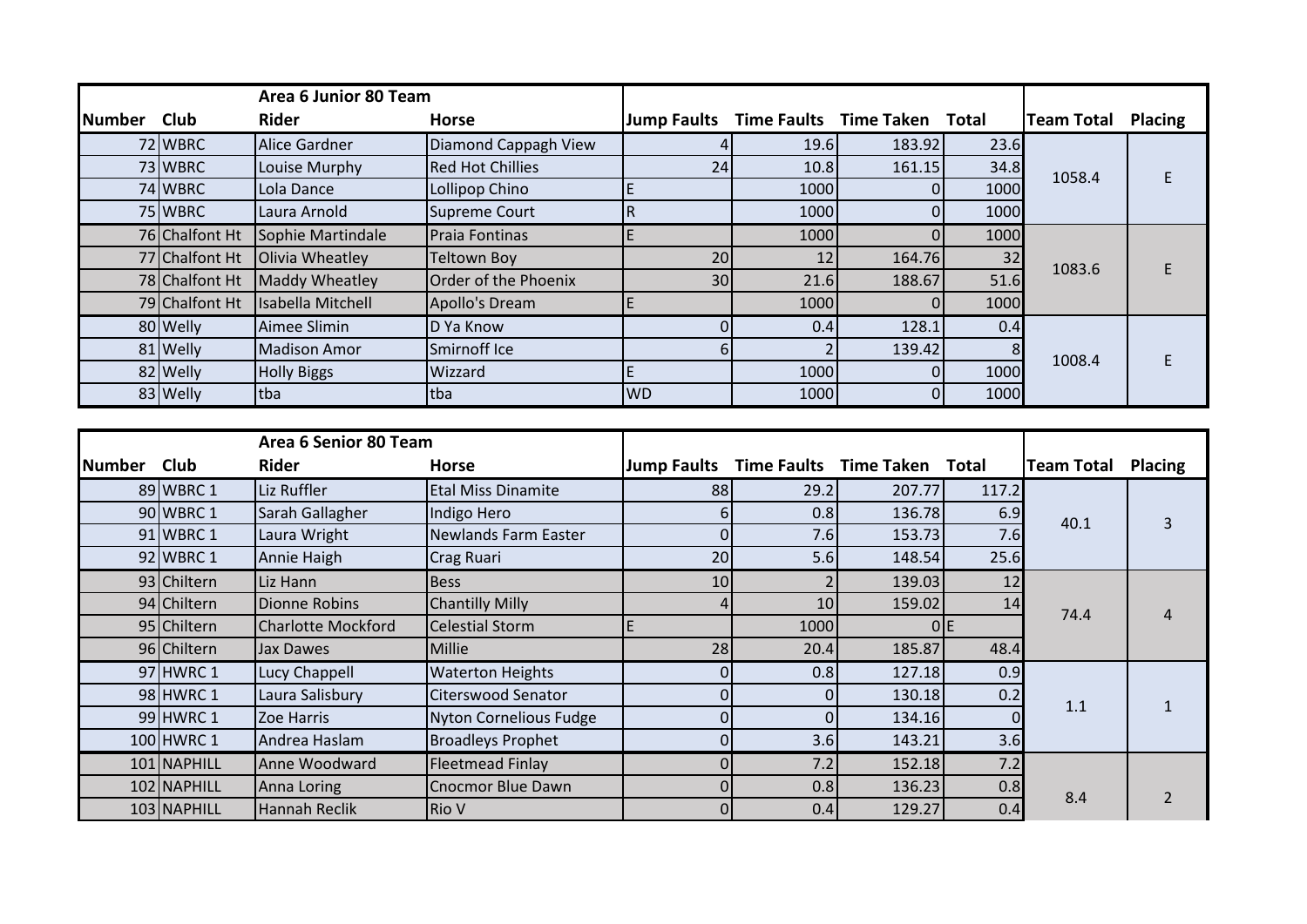|               |                | Area 6 Junior 80 Team |                         |                         |      |                              |      |                   |                |
|---------------|----------------|-----------------------|-------------------------|-------------------------|------|------------------------------|------|-------------------|----------------|
| <b>Number</b> | <b>Club</b>    | <b>Rider</b>          | <b>Horse</b>            | <b>Jump Faults</b>      |      | Time Faults Time Taken Total |      | <b>Team Total</b> | <b>Placing</b> |
|               | 72 WBRC        | Alice Gardner         | Diamond Cappagh View    |                         | 19.6 | 183.92                       | 23.6 |                   |                |
|               | 73 WBRC        | Louise Murphy         | <b>Red Hot Chillies</b> | 24                      | 10.8 | 161.15                       | 34.8 | 1058.4            |                |
|               | 74 WBRC        | Lola Dance            | Lollipop Chino          |                         | 1000 |                              | 1000 |                   |                |
|               | 75 WBRC        | Laura Arnold          | <b>Supreme Court</b>    | $\overline{\mathsf{R}}$ | 1000 |                              | 1000 |                   |                |
|               | 76 Chalfont Ht | Sophie Martindale     | Praia Fontinas          |                         | 1000 |                              | 1000 |                   |                |
|               | 77 Chalfont Ht | Olivia Wheatley       | <b>Teltown Boy</b>      | 20                      | 12   | 164.76                       | 32   | 1083.6            |                |
|               | 78 Chalfont Ht | Maddy Wheatley        | Order of the Phoenix    | 30                      | 21.6 | 188.67                       | 51.6 |                   |                |
|               | 79 Chalfont Ht | Isabella Mitchell     | Apollo's Dream          |                         | 1000 |                              | 1000 |                   |                |
|               | 80 Welly       | Aimee Slimin          | D Ya Know               |                         | 0.4  | 128.1                        | 0.4  |                   |                |
|               | 81 Welly       | <b>Madison Amor</b>   | Smirnoff Ice            |                         |      | 139.42                       | 8    | 1008.4            |                |
|               | 82 Welly       | <b>Holly Biggs</b>    | Wizzard                 |                         | 1000 |                              | 1000 |                   |                |
|               | 83 Welly       | <b>Itba</b>           | tba                     | <b>WD</b>               | 1000 |                              | 1000 |                   |                |

|        |             | Area 6 Senior 80 Team     |                           |                    |                    |                   |       |                   |                |
|--------|-------------|---------------------------|---------------------------|--------------------|--------------------|-------------------|-------|-------------------|----------------|
| Number | <b>Club</b> | <b>Rider</b>              | <b>Horse</b>              | <b>Jump Faults</b> | <b>Time Faults</b> | <b>Time Taken</b> | Total | <b>Team Total</b> | <b>Placing</b> |
|        | 89 WBRC 1   | Liz Ruffler               | <b>Etal Miss Dinamite</b> | 88                 | 29.2               | 207.77            | 117.2 |                   |                |
|        | 90 WBRC 1   | Sarah Gallagher           | Indigo Hero               | b                  | 0.8                | 136.78            | 6.9   | 40.1              | 3              |
|        | 91 WBRC 1   | Laura Wright              | Newlands Farm Easter      |                    | 7.6                | 153.73            | 7.6   |                   |                |
|        | 92 WBRC 1   | Annie Haigh               | Crag Ruari                | 20                 | 5.6                | 148.54            | 25.6  |                   |                |
|        | 93 Chiltern | Liz Hann                  | <b>Bess</b>               | 10                 |                    | 139.03            | 12    |                   |                |
|        | 94 Chiltern | Dionne Robins             | <b>Chantilly Milly</b>    |                    | 10                 | 159.02            | 14    | 74.4              |                |
|        | 95 Chiltern | <b>Charlotte Mockford</b> | Celestial Storm           |                    | 1000               |                   | 0 E   |                   |                |
|        | 96 Chiltern | Jax Dawes                 | Millie                    | 28                 | 20.4               | 185.87            | 48.4  |                   |                |
|        | 97 HWRC 1   | Lucy Chappell             | <b>Waterton Heights</b>   |                    | 0.8                | 127.18            | 0.9   |                   |                |
|        | 98 HWRC 1   | Laura Salisbury           | Citerswood Senator        |                    |                    | 130.18            | 0.2   |                   |                |
|        | 99 HWRC 1   | Zoe Harris                | Nyton Cornelious Fudge    |                    |                    | 134.16            |       | 1.1               |                |
|        | 100 HWRC 1  | Andrea Haslam             | <b>Broadleys Prophet</b>  |                    | 3.6                | 143.21            | 3.6   |                   |                |
|        | 101 NAPHILL | Anne Woodward             | Fleetmead Finlay          |                    | 7.2                | 152.18            | 7.2   |                   |                |
|        | 102 NAPHILL | Anna Loring               | Cnocmor Blue Dawn         | 0                  | 0.8                | 136.23            | 0.8   |                   |                |
|        | 103 NAPHILL | Hannah Reclik             | <b>Rio V</b>              |                    | 0.4                | 129.27            | 0.4   | 8.4               |                |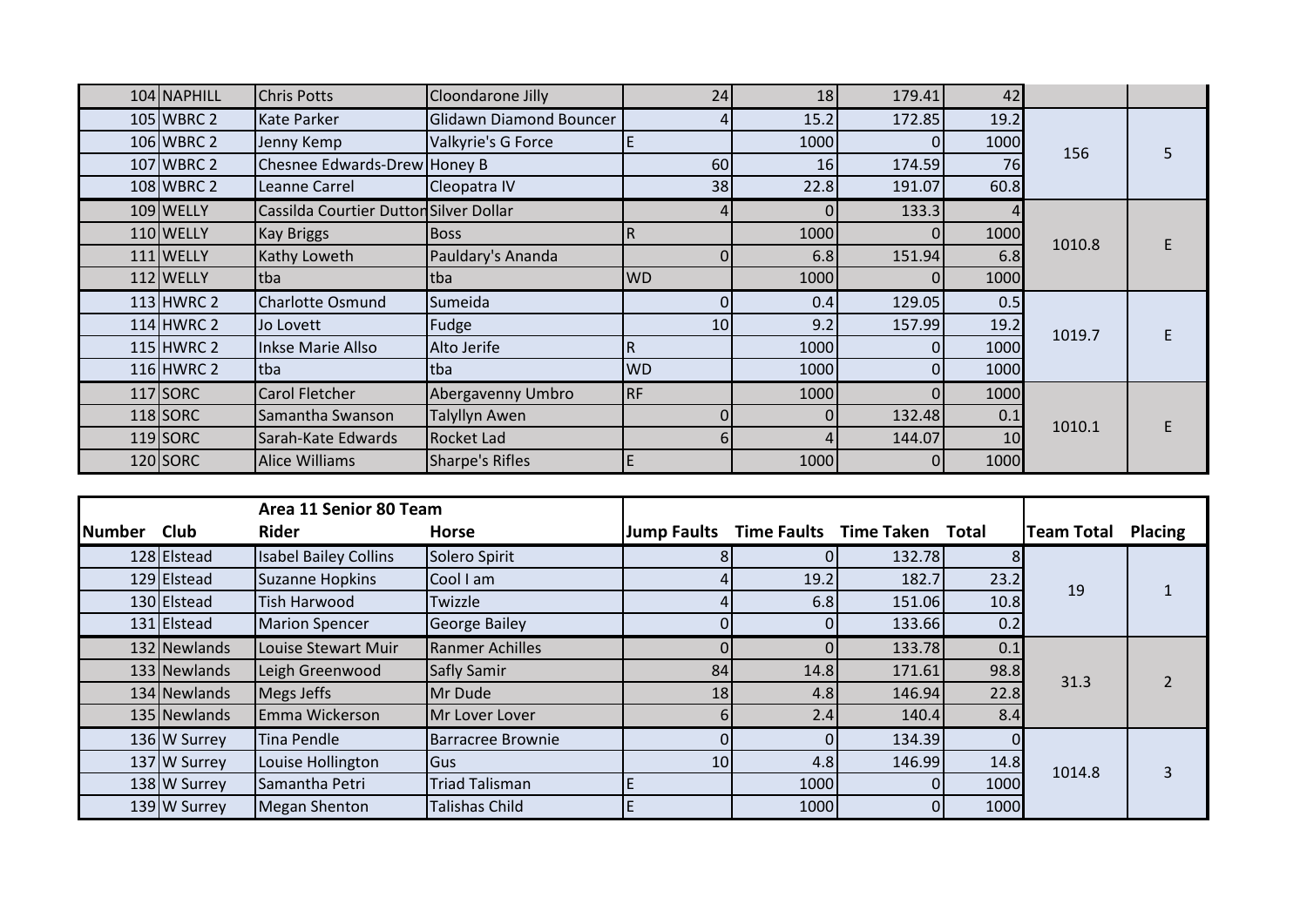| 104 NAPHILL  | <b>Chris Potts</b>                     | Cloondarone Jilly       | 24              | 18   | 179.41 | 42              |        |  |
|--------------|----------------------------------------|-------------------------|-----------------|------|--------|-----------------|--------|--|
| 105 WBRC 2   | Kate Parker                            | Glidawn Diamond Bouncer |                 | 15.2 | 172.85 | 19.2            |        |  |
| 106 WBRC 2   | Jenny Kemp                             | Valkyrie's G Force      | ΙE              | 1000 |        | 1000            | 156    |  |
| 107 WBRC 2   | Chesnee Edwards-Drew Honey B           |                         | 60              | 16   | 174.59 | 76              |        |  |
| 108 WBRC 2   | Leanne Carrel                          | Cleopatra IV            | 38              | 22.8 | 191.07 | 60.8            |        |  |
| 109 WELLY    | Cassilda Courtier Dutton Silver Dollar |                         |                 |      | 133.3  |                 |        |  |
| 110 WELLY    | <b>Kay Briggs</b>                      | <b>Boss</b>             | $\overline{R}$  | 1000 |        | 1000            | 1010.8 |  |
| 111 WELLY    | Kathy Loweth                           | Pauldary's Ananda       |                 | 6.8  | 151.94 | 6.8             |        |  |
| 112 WELLY    | tba                                    | tba                     | <b>WD</b>       | 1000 |        | 1000            |        |  |
| 113 HWRC 2   | <b>Charlotte Osmund</b>                | Sumeida                 |                 | 0.4  | 129.05 | 0.5             |        |  |
| $114$ HWRC 2 | Jo Lovett                              | Fudge                   | 10 <sup>1</sup> | 9.2  | 157.99 | 19.2            | 1019.7 |  |
| 115 HWRC 2   | <b>Inkse Marie Allso</b>               | Alto Jerife             | R               | 1000 |        | 1000            |        |  |
| 116 HWRC 2   | ltba                                   | tba                     | <b>WD</b>       | 1000 |        | 1000            |        |  |
| $117$ SORC   | Carol Fletcher                         | Abergavenny Umbro       | <b>RF</b>       | 1000 |        | 1000            |        |  |
| $118$ SORC   | Samantha Swanson                       | Talyllyn Awen           |                 |      | 132.48 | 0.1             | 1010.1 |  |
| $119$ SORC   | Sarah-Kate Edwards                     | Rocket Lad              | b               |      | 144.07 | 10 <sup>1</sup> |        |  |
| 120 SORC     | Alice Williams                         | Sharpe's Rifles         | E               | 1000 |        | 1000            |        |  |

|               |              | Area 11 Senior 80 Team       |                          |                    |                    |                         |      |                   |                |
|---------------|--------------|------------------------------|--------------------------|--------------------|--------------------|-------------------------|------|-------------------|----------------|
| <b>Number</b> | <b>Club</b>  | <b>Rider</b>                 | <b>Horse</b>             | <b>Jump Faults</b> | <b>Time Faults</b> | <b>Time Taken Total</b> |      | <b>Team Total</b> | <b>Placing</b> |
|               | 128 Elstead  | <b>Isabel Bailey Collins</b> | Solero Spirit            |                    |                    | 132.78                  |      |                   |                |
|               | 129 Elstead  | <b>Suzanne Hopkins</b>       | Cool I am                |                    | 19.2               | 182.7                   | 23.2 | 19                |                |
|               | 130 Elstead  | <b>Tish Harwood</b>          | Twizzle                  |                    | 6.8                | 151.06                  | 10.8 |                   |                |
|               | 131 Elstead  | <b>Marion Spencer</b>        | <b>George Bailey</b>     |                    |                    | 133.66                  | 0.2  |                   |                |
|               | 132 Newlands | Louise Stewart Muir          | <b>Ranmer Achilles</b>   |                    |                    | 133.78                  | 0.1  |                   |                |
|               | 133 Newlands | Leigh Greenwood              | Safly Samir              | 84                 | 14.8               | 171.61                  | 98.8 | 31.3              |                |
|               | 134 Newlands | Megs Jeffs                   | Mr Dude                  | 18                 | 4.8                | 146.94                  | 22.8 |                   |                |
|               | 135 Newlands | Emma Wickerson               | Mr Lover Lover           |                    | 2.4                | 140.4                   | 8.4  |                   |                |
|               | 136 W Surrey | Tina Pendle                  | <b>Barracree Brownie</b> |                    | $\Omega$           | 134.39                  |      |                   |                |
|               | 137 W Surrey | Louise Hollington            | <b>Gus</b>               | 10                 | 4.8                | 146.99                  | 14.8 | 1014.8            |                |
|               | 138 W Surrey | Samantha Petri               | <b>Triad Talisman</b>    | E                  | 1000               |                         | 1000 |                   | 3              |
|               | 139 W Surrey | <b>Megan Shenton</b>         | <b>Talishas Child</b>    | E                  | 1000               |                         | 1000 |                   |                |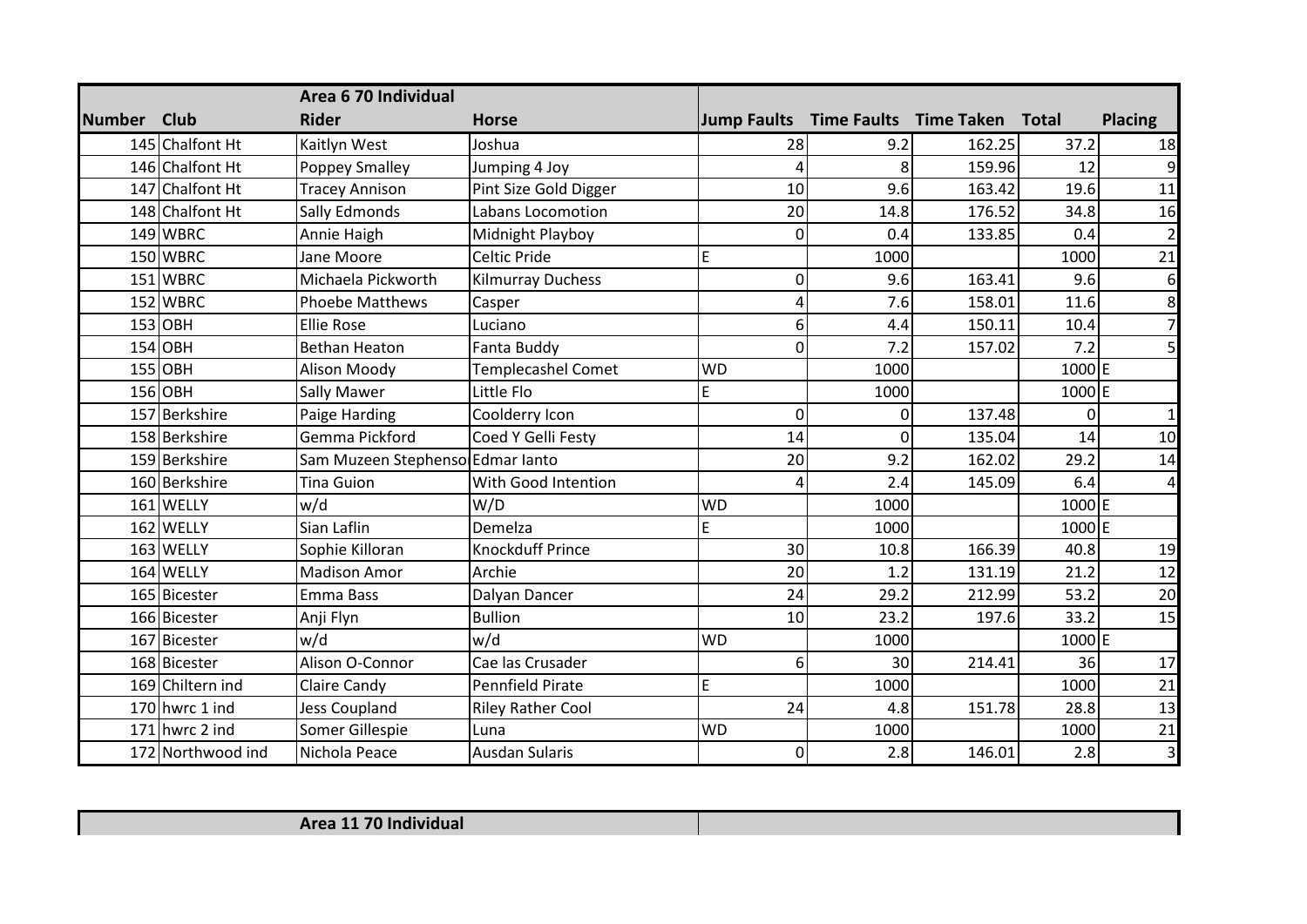|               |                   | Area 6 70 Individual             |                           |                    |      |                                     |          |                         |
|---------------|-------------------|----------------------------------|---------------------------|--------------------|------|-------------------------------------|----------|-------------------------|
| <b>Number</b> | <b>Club</b>       | <b>Rider</b>                     | <b>Horse</b>              | <b>Jump Faults</b> |      | <b>Time Faults Time Taken Total</b> |          | <b>Placing</b>          |
|               | 145 Chalfont Ht   | Kaitlyn West                     | Joshua                    | 28                 | 9.2  | 162.25                              | 37.2     | 18                      |
|               | 146 Chalfont Ht   | <b>Poppey Smalley</b>            | Jumping 4 Joy             | Δ                  | 8    | 159.96                              | 12       | 9                       |
|               | 147 Chalfont Ht   | <b>Tracey Annison</b>            | Pint Size Gold Digger     | 10                 | 9.6  | 163.42                              | 19.6     | 11                      |
|               | 148 Chalfont Ht   | Sally Edmonds                    | Labans Locomotion         | 20                 | 14.8 | 176.52                              | 34.8     | 16                      |
|               | 149 WBRC          | Annie Haigh                      | Midnight Playboy          | 0                  | 0.4  | 133.85                              | 0.4      | $\overline{2}$          |
|               | 150 WBRC          | Jane Moore                       | Celtic Pride              | E                  | 1000 |                                     | 1000     | 21                      |
|               | 151 WBRC          | Michaela Pickworth               | <b>Kilmurray Duchess</b>  | 0                  | 9.6  | 163.41                              | 9.6      | 6                       |
|               | 152 WBRC          | <b>Phoebe Matthews</b>           | Casper                    |                    | 7.6  | 158.01                              | 11.6     | 8                       |
|               | $153$ OBH         | <b>Ellie Rose</b>                | Luciano                   | 6                  | 4.4  | 150.11                              | 10.4     | $\overline{7}$          |
|               | $154$ OBH         | <b>Bethan Heaton</b>             | Fanta Buddy               | 0                  | 7.2  | 157.02                              | 7.2      | 5                       |
|               | $155$ OBH         | Alison Moody                     | <b>Templecashel Comet</b> | <b>WD</b>          | 1000 |                                     | 1000E    |                         |
|               | $156$ OBH         | <b>Sally Mawer</b>               | Little Flo                | E                  | 1000 |                                     | 1000E    |                         |
|               | 157 Berkshire     | Paige Harding                    | Coolderry Icon            | 0                  | 0    | 137.48                              | $\Omega$ | $\mathbf{1}$            |
|               | 158 Berkshire     | Gemma Pickford                   | Coed Y Gelli Festy        | 14                 | 0    | 135.04                              | 14       | 10                      |
|               | 159 Berkshire     | Sam Muzeen Stephenso Edmar lanto |                           | 20                 | 9.2  | 162.02                              | 29.2     | 14                      |
|               | 160 Berkshire     | <b>Tina Guion</b>                | With Good Intention       | 4                  | 2.4  | 145.09                              | 6.4      | 4                       |
|               | 161 WELLY         | w/d                              | W/D                       | <b>WD</b>          | 1000 |                                     | 1000E    |                         |
|               | 162 WELLY         | Sian Laflin                      | Demelza                   | E                  | 1000 |                                     | 1000E    |                         |
|               | 163 WELLY         | Sophie Killoran                  | <b>Knockduff Prince</b>   | 30                 | 10.8 | 166.39                              | 40.8     | 19                      |
|               | 164 WELLY         | <b>Madison Amor</b>              | Archie                    | 20                 | 1.2  | 131.19                              | 21.2     | 12                      |
|               | 165 Bicester      | Emma Bass                        | Dalyan Dancer             | 24                 | 29.2 | 212.99                              | 53.2     | 20                      |
|               | 166 Bicester      | Anji Flyn                        | <b>Bullion</b>            | 10                 | 23.2 | 197.6                               | 33.2     | 15                      |
|               | 167 Bicester      | w/d                              | w/d                       | <b>WD</b>          | 1000 |                                     | 1000E    |                         |
|               | 168 Bicester      | Alison O-Connor                  | Cae las Crusader          | 6                  | 30   | 214.41                              | 36       | 17                      |
|               | 169 Chiltern ind  | Claire Candy                     | <b>Pennfield Pirate</b>   | E                  | 1000 |                                     | 1000     | 21                      |
|               | 170 hwrc 1 ind    | Jess Coupland                    | <b>Riley Rather Cool</b>  | 24                 | 4.8  | 151.78                              | 28.8     | 13                      |
|               | 171 hwrc 2 ind    | Somer Gillespie                  | Luna                      | <b>WD</b>          | 1000 |                                     | 1000     | 21                      |
|               | 172 Northwood ind | Nichola Peace                    | <b>Ausdan Sularis</b>     | 0                  | 2.8  | 146.01                              | 2.8      | $\overline{\mathbf{3}}$ |

| Area 11 70 Individual |  |
|-----------------------|--|
|                       |  |

Г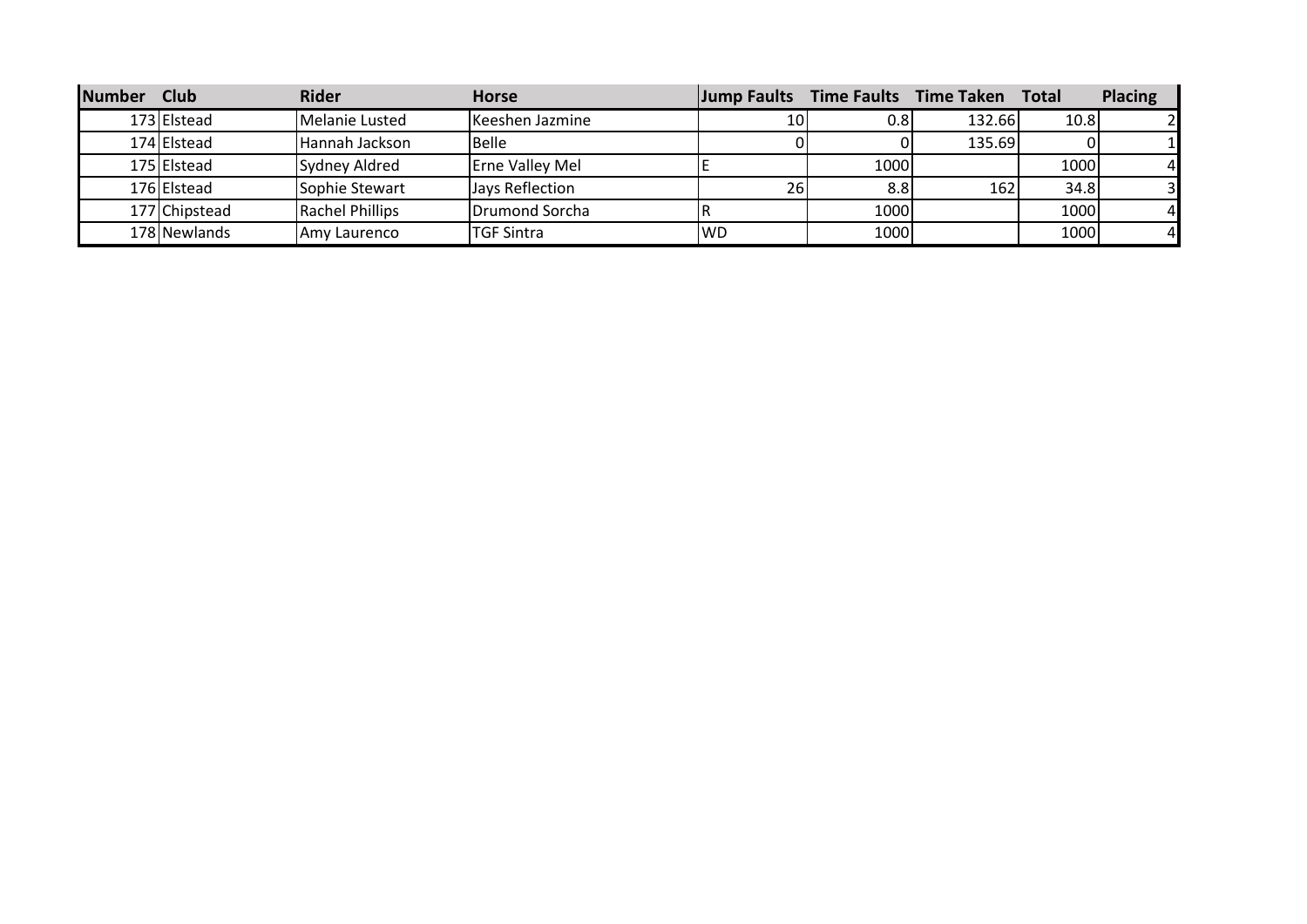| <b>Number</b> | <b>Club</b>   | <b>Rider</b>           | <b>Horse</b>           |           |                  | Jump Faults Time Faults Time Taken | <b>Total</b> | <b>Placing</b> |
|---------------|---------------|------------------------|------------------------|-----------|------------------|------------------------------------|--------------|----------------|
|               | 173 Elstead   | Melanie Lusted         | Keeshen Jazmine        |           | 0.8              | 132.66                             | 10.8         |                |
|               | 174 Elstead   | Hannah Jackson         | Belle                  |           |                  | 135.69                             |              |                |
|               | 175 Elstead   | Sydney Aldred          | <b>Erne Valley Mel</b> |           | 1000             |                                    | 1000         | $\overline{4}$ |
|               | 176 Elstead   | Sophie Stewart         | Jays Reflection        | 26        | 8.8 <sub>1</sub> | 162                                | 34.8         | $\overline{3}$ |
|               | 177 Chipstead | <b>Rachel Phillips</b> | Drumond Sorcha         |           | 1000             |                                    | 1000         | $\overline{4}$ |
|               | 178 Newlands  | Amy Laurenco           | <b>TGF Sintra</b>      | <b>WD</b> | 1000             |                                    | 1000         | $\overline{4}$ |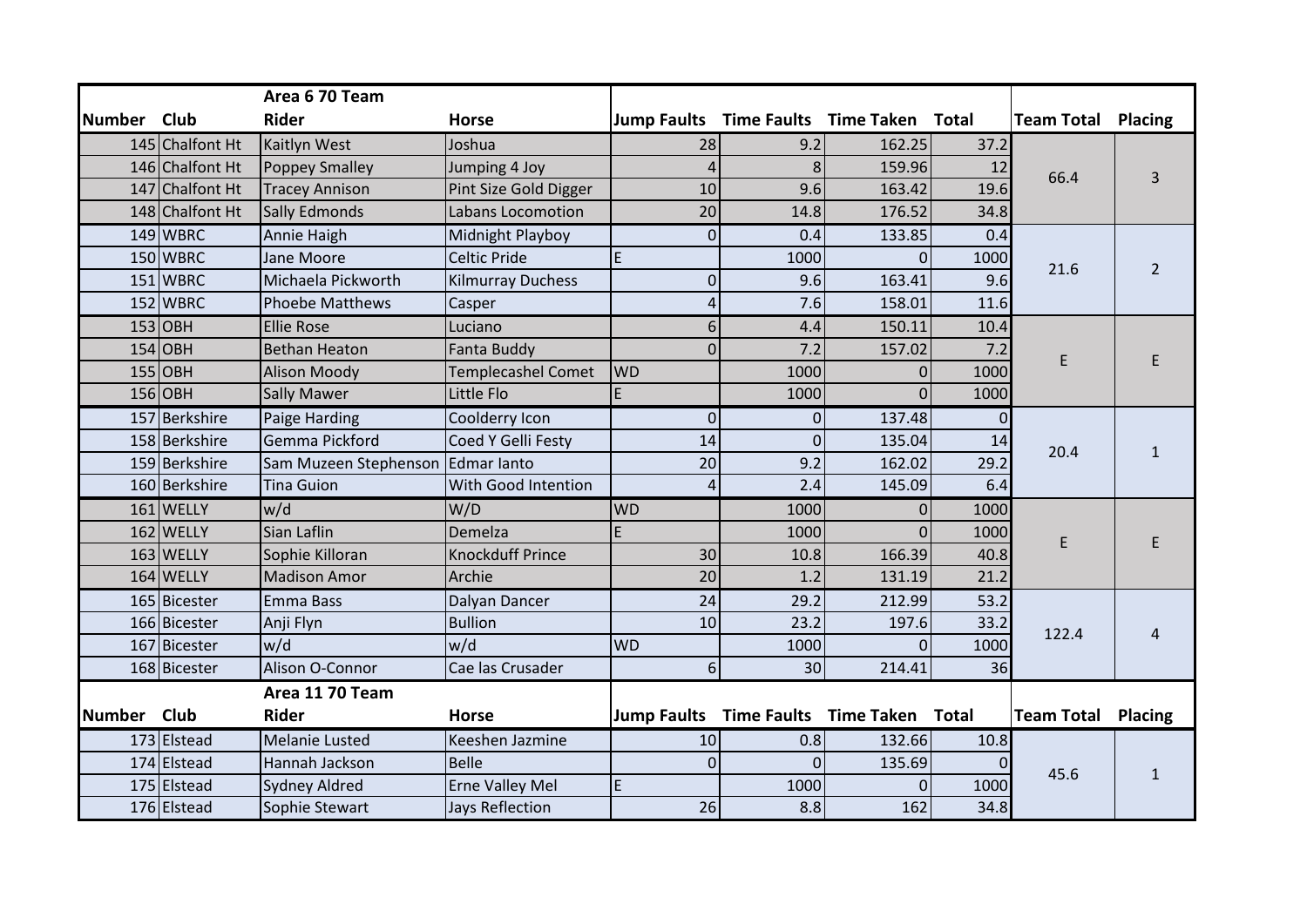| Number Club |                                    | Area 6 70 Team<br><b>Rider</b>                | <b>Horse</b>                                      |                      |                |                                          |            | <b>Team Total Placing</b> |                |
|-------------|------------------------------------|-----------------------------------------------|---------------------------------------------------|----------------------|----------------|------------------------------------------|------------|---------------------------|----------------|
|             |                                    |                                               |                                                   |                      |                | Jump Faults Time Faults Time Taken Total |            |                           |                |
|             | 145 Chalfont Ht<br>146 Chalfont Ht | <b>Kaitlyn West</b>                           | Joshua                                            | 28<br>$\overline{4}$ | 9.2<br>8       | 162.25<br>159.96                         | 37.2<br>12 |                           |                |
|             | 147 Chalfont Ht                    | <b>Poppey Smalley</b>                         | Jumping 4 Joy                                     | 10                   | 9.6            | 163.42                                   | 19.6       | 66.4                      |                |
|             | 148 Chalfont Ht                    | <b>Tracey Annison</b><br><b>Sally Edmonds</b> | Pint Size Gold Digger<br><b>Labans Locomotion</b> | 20                   | 14.8           | 176.52                                   | 34.8       |                           |                |
|             |                                    |                                               |                                                   |                      |                |                                          |            |                           |                |
|             | 149 WBRC                           | Annie Haigh                                   | Midnight Playboy                                  | $\mathbf 0$          | 0.4            | 133.85                                   | 0.4        |                           |                |
|             | 150 WBRC                           | Jane Moore                                    | <b>Celtic Pride</b>                               | E                    | 1000           | $\Omega$                                 | 1000       | 21.6                      | $\overline{2}$ |
|             | 151 WBRC                           | Michaela Pickworth                            | <b>Kilmurray Duchess</b>                          | $\mathbf 0$          | 9.6            | 163.41                                   | 9.6        |                           |                |
|             | 152 WBRC                           | <b>Phoebe Matthews</b>                        | Casper                                            | 4                    | 7.6            | 158.01                                   | 11.6       |                           |                |
|             | $153$ OBH                          | <b>Ellie Rose</b>                             | Luciano                                           | $6 \overline{6}$     | 4.4            | 150.11                                   | 10.4       |                           |                |
|             | $154$ OBH                          | <b>Bethan Heaton</b>                          | <b>Fanta Buddy</b>                                | $\Omega$             | 7.2            | 157.02                                   | 7.2        | E                         |                |
|             | $155$ OBH                          | <b>Alison Moody</b>                           | <b>Templecashel Comet</b>                         | <b>WD</b>            | 1000           | $\Omega$                                 | 1000       |                           |                |
|             | 156 OBH                            | <b>Sally Mawer</b>                            | Little Flo                                        | E                    | 1000           | $\Omega$                                 | 1000       |                           |                |
|             | 157 Berkshire                      | Paige Harding                                 | Coolderry Icon                                    | $\overline{0}$       | $\Omega$       | 137.48                                   | 0          |                           |                |
|             | 158 Berkshire                      | Gemma Pickford                                | Coed Y Gelli Festy                                | 14                   | $\overline{0}$ | 135.04                                   | 14         | 20.4                      |                |
|             | 159 Berkshire                      | Sam Muzeen Stephenson Edmar lanto             |                                                   | 20                   | 9.2            | 162.02                                   | 29.2       |                           |                |
|             | 160 Berkshire                      | <b>Tina Guion</b>                             | With Good Intention                               | 4                    | 2.4            | 145.09                                   | 6.4        |                           |                |
|             | 161 WELLY                          | w/d                                           | W/D                                               | <b>WD</b>            | 1000           | $\Omega$                                 | 1000       |                           |                |
|             | 162 WELLY                          | Sian Laflin                                   | Demelza                                           | E.                   | 1000           | $\overline{0}$                           | 1000       | E                         |                |
|             | 163 WELLY                          | Sophie Killoran                               | <b>Knockduff Prince</b>                           | 30                   | 10.8           | 166.39                                   | 40.8       |                           |                |
|             | 164 WELLY                          | <b>Madison Amor</b>                           | Archie                                            | 20                   | 1.2            | 131.19                                   | 21.2       |                           |                |
|             | 165 Bicester                       | Emma Bass                                     | Dalyan Dancer                                     | 24                   | 29.2           | 212.99                                   | 53.2       |                           |                |
|             | 166 Bicester                       | Anji Flyn                                     | <b>Bullion</b>                                    | 10                   | 23.2           | 197.6                                    | 33.2       | 122.4                     |                |
|             | 167 Bicester                       | w/d                                           | w/d                                               | <b>WD</b>            | 1000           | $\Omega$                                 | 1000       |                           |                |
|             | 168 Bicester                       | Alison O-Connor                               | Cae las Crusader                                  | 6                    | 30             | 214.41                                   | 36         |                           |                |
|             |                                    | Area 11 70 Team                               |                                                   |                      |                |                                          |            |                           |                |
| Number Club |                                    | <b>Rider</b>                                  | <b>Horse</b>                                      |                      |                | Jump Faults Time Faults Time Taken Total |            | <b>Team Total</b>         | Placing        |
|             | 173 Elstead                        | <b>Melanie Lusted</b>                         | Keeshen Jazmine                                   | 10                   | 0.8            | 132.66                                   | 10.8       |                           |                |
|             | 174 Elstead                        | Hannah Jackson                                | <b>Belle</b>                                      | $\Omega$             | $\Omega$       | 135.69                                   |            | 45.6                      |                |
|             | 175 Elstead                        | <b>Sydney Aldred</b>                          | <b>Erne Valley Mel</b>                            | $\mathsf E$          | 1000           | $\Omega$                                 | 1000       |                           |                |
|             | 176 Elstead                        | Sophie Stewart                                | Jays Reflection                                   | 26                   | 8.8            | 162                                      | 34.8       |                           |                |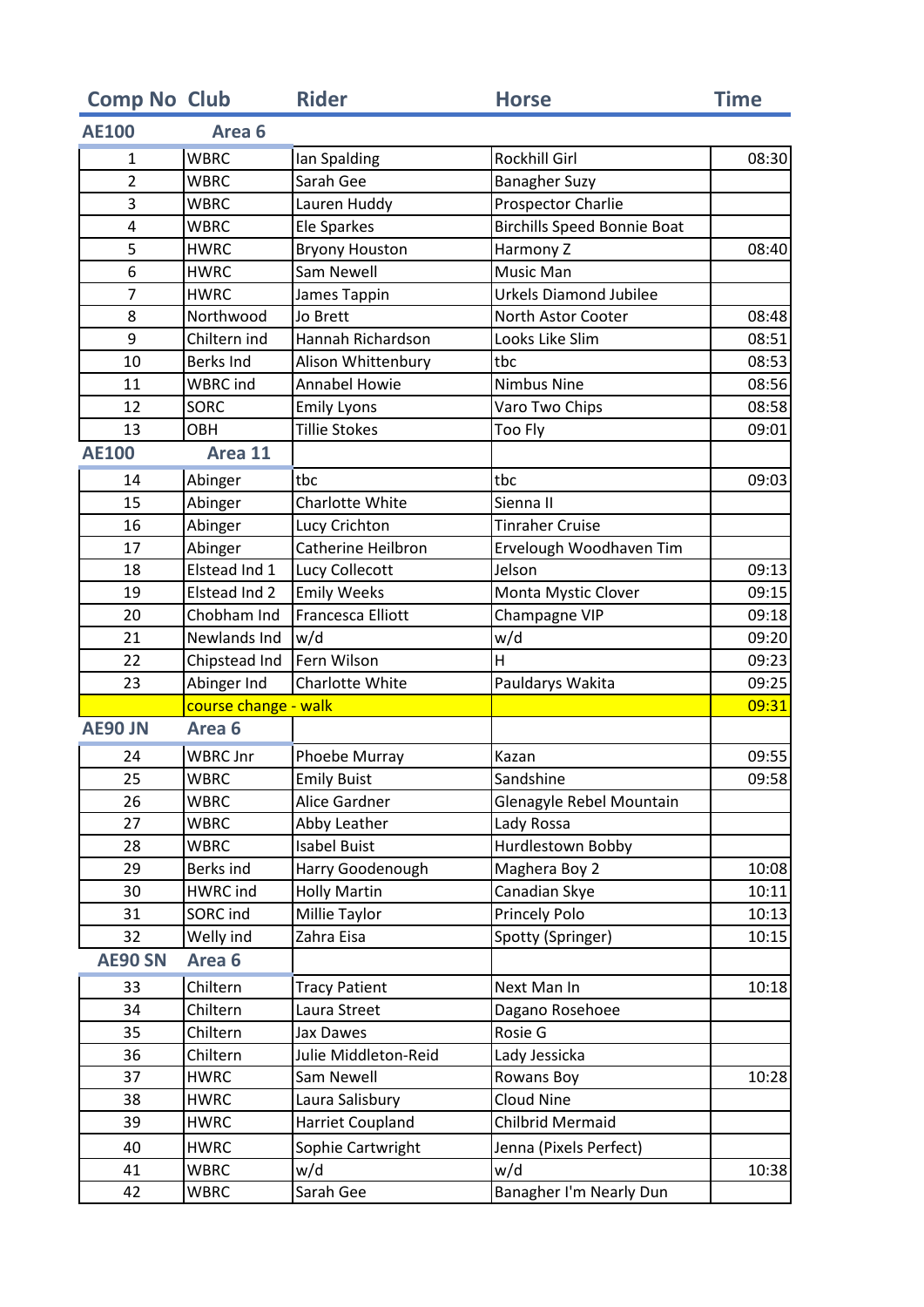| <b>Comp No Club</b> |                      | <b>Rider</b>              | <b>Horse</b>                       | <b>Time</b> |
|---------------------|----------------------|---------------------------|------------------------------------|-------------|
| <b>AE100</b>        | Area <sub>6</sub>    |                           |                                    |             |
| $\mathbf{1}$        | <b>WBRC</b>          | Ian Spalding              | Rockhill Girl                      | 08:30       |
| $\overline{2}$      | <b>WBRC</b>          | Sarah Gee                 | <b>Banagher Suzy</b>               |             |
| 3                   | <b>WBRC</b>          | Lauren Huddy              | Prospector Charlie                 |             |
| 4                   | <b>WBRC</b>          | <b>Ele Sparkes</b>        | <b>Birchills Speed Bonnie Boat</b> |             |
| 5                   | <b>HWRC</b>          | <b>Bryony Houston</b>     | Harmony Z                          | 08:40       |
| 6                   | <b>HWRC</b>          | Sam Newell                | Music Man                          |             |
| 7                   | <b>HWRC</b>          | James Tappin              | <b>Urkels Diamond Jubilee</b>      |             |
| 8                   | Northwood            | Jo Brett                  | North Astor Cooter                 | 08:48       |
| 9                   | Chiltern ind         | Hannah Richardson         | Looks Like Slim                    | 08:51       |
| 10                  | <b>Berks Ind</b>     | Alison Whittenbury        | tbc                                | 08:53       |
| 11                  | <b>WBRC</b> ind      | <b>Annabel Howie</b>      | <b>Nimbus Nine</b>                 | 08:56       |
| 12                  | SORC                 | <b>Emily Lyons</b>        | Varo Two Chips                     | 08:58       |
| 13                  | <b>OBH</b>           | <b>Tillie Stokes</b>      | Too Fly                            | 09:01       |
| <b>AE100</b>        | Area 11              |                           |                                    |             |
| 14                  | Abinger              | tbc                       | tbc                                | 09:03       |
| 15                  | Abinger              | Charlotte White           | Sienna II                          |             |
| 16                  | Abinger              | Lucy Crichton             | <b>Tinraher Cruise</b>             |             |
| 17                  | Abinger              | <b>Catherine Heilbron</b> | Ervelough Woodhaven Tim            |             |
| 18                  | Elstead Ind 1        | Lucy Collecott            | Jelson                             | 09:13       |
| 19                  | Elstead Ind 2        | <b>Emily Weeks</b>        | Monta Mystic Clover                | 09:15       |
| 20                  | Chobham Ind          | Francesca Elliott         | Champagne VIP                      | 09:18       |
| 21                  | Newlands Ind         | w/d                       | w/d                                | 09:20       |
| 22                  | Chipstead Ind        | Fern Wilson               | H                                  | 09:23       |
| 23                  | Abinger Ind          | Charlotte White           | Pauldarys Wakita                   | 09:25       |
|                     | course change - walk |                           |                                    | 09:31       |
| <b>AE90 JN</b>      | Area <sub>6</sub>    |                           |                                    |             |
| 24                  | <b>WBRC Jnr</b>      | Phoebe Murray             | Kazan                              | 09:55       |
| 25                  | <b>WBRC</b>          | <b>Emily Buist</b>        | Sandshine                          | 09:58       |
| 26                  | <b>WBRC</b>          | Alice Gardner             | Glenagyle Rebel Mountain           |             |
| 27                  | <b>WBRC</b>          | Abby Leather              | Lady Rossa                         |             |
| 28                  | <b>WBRC</b>          | <b>Isabel Buist</b>       | Hurdlestown Bobby                  |             |
| 29                  | Berks ind            | Harry Goodenough          | Maghera Boy 2                      | 10:08       |
| 30                  | HWRC ind             | <b>Holly Martin</b>       | Canadian Skye                      | 10:11       |
| 31                  | SORC ind             | Millie Taylor             | <b>Princely Polo</b>               | 10:13       |
| 32                  | Welly ind            | Zahra Eisa                | Spotty (Springer)                  | 10:15       |
| <b>AE90 SN</b>      | Area <sub>6</sub>    |                           |                                    |             |
| 33                  | Chiltern             | <b>Tracy Patient</b>      | Next Man In                        | 10:18       |
| 34                  | Chiltern             | Laura Street              | Dagano Rosehoee                    |             |
| 35                  | Chiltern             | Jax Dawes                 | Rosie G                            |             |
| 36                  | Chiltern             | Julie Middleton-Reid      | Lady Jessicka                      |             |
| 37                  | <b>HWRC</b>          | Sam Newell                | Rowans Boy                         | 10:28       |
| 38                  | <b>HWRC</b>          | Laura Salisbury           | <b>Cloud Nine</b>                  |             |
| 39                  | <b>HWRC</b>          | Harriet Coupland          | Chilbrid Mermaid                   |             |
| 40                  | <b>HWRC</b>          | Sophie Cartwright         | Jenna (Pixels Perfect)             |             |
| 41                  | WBRC                 | w/d                       | w/d                                | 10:38       |
| 42                  | <b>WBRC</b>          | Sarah Gee                 | Banagher I'm Nearly Dun            |             |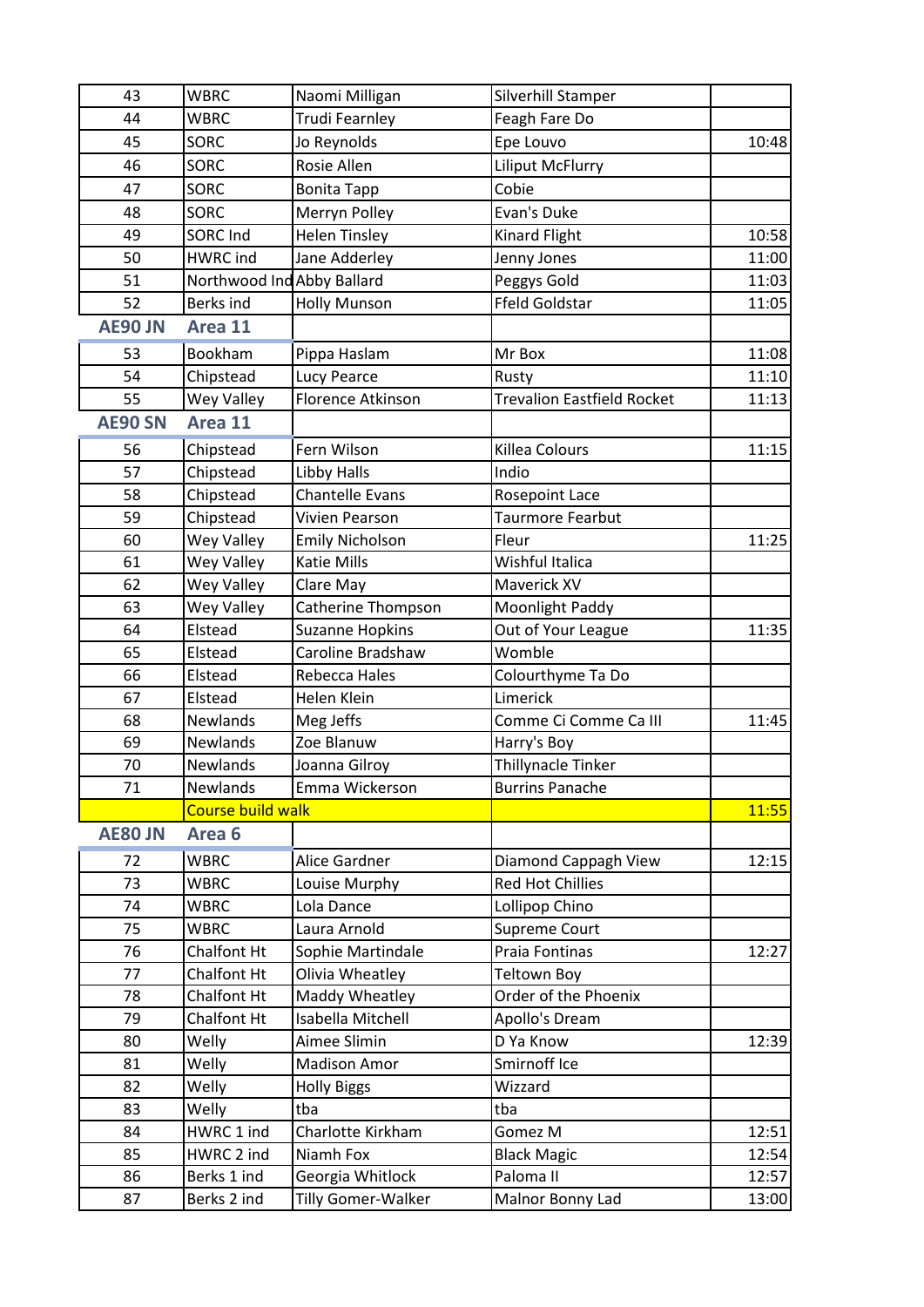| 43             | <b>WBRC</b>                | Naomi Milligan         | Silverhill Stamper                |       |
|----------------|----------------------------|------------------------|-----------------------------------|-------|
| 44             | <b>WBRC</b>                | <b>Trudi Fearnley</b>  | Feagh Fare Do                     |       |
| 45             | <b>SORC</b>                | Jo Reynolds            | Epe Louvo                         | 10:48 |
| 46             | SORC                       | Rosie Allen            | <b>Liliput McFlurry</b>           |       |
| 47             | <b>SORC</b>                | <b>Bonita Tapp</b>     | Cobie                             |       |
| 48             | SORC                       | Merryn Polley          | Evan's Duke                       |       |
| 49             | SORC Ind                   | <b>Helen Tinsley</b>   | <b>Kinard Flight</b>              | 10:58 |
| 50             | <b>HWRC</b> ind            | Jane Adderley          | Jenny Jones                       | 11:00 |
| 51             | Northwood Ind Abby Ballard |                        | Peggys Gold                       | 11:03 |
| 52             | <b>Berks ind</b>           | <b>Holly Munson</b>    | <b>Ffeld Goldstar</b>             | 11:05 |
| <b>AE90 JN</b> | Area 11                    |                        |                                   |       |
| 53             | Bookham                    | Pippa Haslam           | Mr Box                            | 11:08 |
| 54             | Chipstead                  | Lucy Pearce            | Rusty                             | 11:10 |
| 55             | Wey Valley                 | Florence Atkinson      | <b>Trevalion Eastfield Rocket</b> | 11:13 |
| <b>AE90 SN</b> | Area 11                    |                        |                                   |       |
| 56             | Chipstead                  | Fern Wilson            | Killea Colours                    | 11:15 |
| 57             | Chipstead                  | Libby Halls            | Indio                             |       |
| 58             | Chipstead                  | <b>Chantelle Evans</b> | Rosepoint Lace                    |       |
| 59             | Chipstead                  | Vivien Pearson         | Taurmore Fearbut                  |       |
| 60             | Wey Valley                 | <b>Emily Nicholson</b> | Fleur                             | 11:25 |
| 61             | Wey Valley                 | Katie Mills            | Wishful Italica                   |       |
| 62             | Wey Valley                 | Clare May              | Maverick XV                       |       |
| 63             | Wey Valley                 | Catherine Thompson     | Moonlight Paddy                   |       |
| 64             | Elstead                    | <b>Suzanne Hopkins</b> | Out of Your League                | 11:35 |
| 65             | Elstead                    | Caroline Bradshaw      | Womble                            |       |
| 66             | Elstead                    | Rebecca Hales          | Colourthyme Ta Do                 |       |
| 67             | Elstead                    | Helen Klein            | Limerick                          |       |
| 68             | Newlands                   | Meg Jeffs              | Comme Ci Comme Ca III             | 11:45 |
| 69             | Newlands                   | Zoe Blanuw             | Harry's Boy                       |       |
| 70             | Newlands                   | Joanna Gilroy          | Thillynacle Tinker                |       |
| 71             | Newlands                   | Emma Wickerson         | <b>Burrins Panache</b>            |       |
|                | Course build walk          |                        |                                   | 11:55 |
| <b>AE80 JN</b> | Area <sub>6</sub>          |                        |                                   |       |
| 72             | <b>WBRC</b>                | Alice Gardner          | Diamond Cappagh View              | 12:15 |
| 73             | <b>WBRC</b>                | Louise Murphy          | <b>Red Hot Chillies</b>           |       |
| 74             | <b>WBRC</b>                | Lola Dance             | Lollipop Chino                    |       |
| 75             | <b>WBRC</b>                | Laura Arnold           | Supreme Court                     |       |
| 76             | Chalfont Ht                | Sophie Martindale      | Praia Fontinas                    | 12:27 |
| 77             | <b>Chalfont Ht</b>         | Olivia Wheatley        | <b>Teltown Boy</b>                |       |
| 78             | <b>Chalfont Ht</b>         | Maddy Wheatley         | Order of the Phoenix              |       |
| 79             | <b>Chalfont Ht</b>         | Isabella Mitchell      | Apollo's Dream                    |       |
| 80             | Welly                      | Aimee Slimin           | D Ya Know                         | 12:39 |
| 81             | Welly                      | <b>Madison Amor</b>    | Smirnoff Ice                      |       |
| 82             | Welly                      | <b>Holly Biggs</b>     | Wizzard                           |       |
| 83             | Welly                      | tba                    | tba                               |       |
| 84             | HWRC 1 ind                 | Charlotte Kirkham      | Gomez M                           | 12:51 |
| 85             | HWRC 2 ind                 | Niamh Fox              | <b>Black Magic</b>                | 12:54 |
| 86             | Berks 1 ind                | Georgia Whitlock       | Paloma II                         | 12:57 |
| 87             | Berks 2 ind                | Tilly Gomer-Walker     | Malnor Bonny Lad                  | 13:00 |
|                |                            |                        |                                   |       |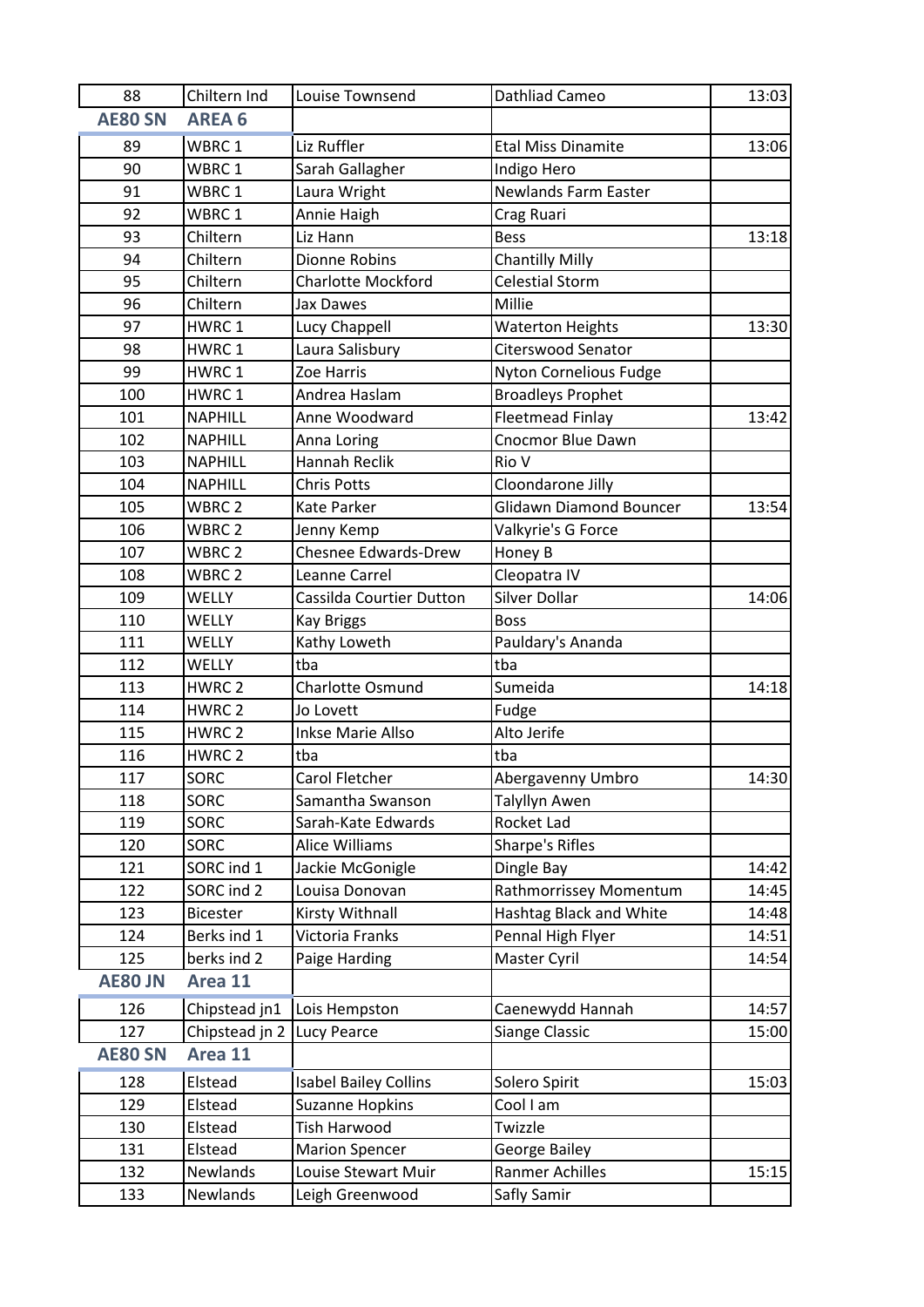| 88             | Chiltern Ind      | Louise Townsend              | Dathliad Cameo                 | 13:03 |
|----------------|-------------------|------------------------------|--------------------------------|-------|
| <b>AE80 SN</b> | <b>AREA 6</b>     |                              |                                |       |
| 89             | WBRC 1            | Liz Ruffler                  | <b>Etal Miss Dinamite</b>      | 13:06 |
| 90             | WBRC <sub>1</sub> | Sarah Gallagher              | Indigo Hero                    |       |
| 91             | WBRC 1            | Laura Wright                 | <b>Newlands Farm Easter</b>    |       |
| 92             | WBRC 1            | Annie Haigh                  | Crag Ruari                     |       |
| 93             | Chiltern          | Liz Hann                     | <b>Bess</b>                    | 13:18 |
| 94             | Chiltern          | Dionne Robins                | <b>Chantilly Milly</b>         |       |
| 95             | Chiltern          | <b>Charlotte Mockford</b>    | <b>Celestial Storm</b>         |       |
| 96             | Chiltern          | Jax Dawes                    | Millie                         |       |
| 97             | HWRC1             | Lucy Chappell                | <b>Waterton Heights</b>        | 13:30 |
| 98             | HWRC1             | Laura Salisbury              | <b>Citerswood Senator</b>      |       |
| 99             | HWRC1             | Zoe Harris                   | <b>Nyton Cornelious Fudge</b>  |       |
| 100            | HWRC1             | Andrea Haslam                | <b>Broadleys Prophet</b>       |       |
| 101            | <b>NAPHILL</b>    | Anne Woodward                | <b>Fleetmead Finlay</b>        | 13:42 |
| 102            | <b>NAPHILL</b>    | Anna Loring                  | Cnocmor Blue Dawn              |       |
| 103            | <b>NAPHILL</b>    | Hannah Reclik                | Rio V                          |       |
| 104            | <b>NAPHILL</b>    | <b>Chris Potts</b>           | Cloondarone Jilly              |       |
| 105            | WBRC 2            | Kate Parker                  | <b>Glidawn Diamond Bouncer</b> | 13:54 |
| 106            | WBRC 2            | Jenny Kemp                   | Valkyrie's G Force             |       |
| 107            | WBRC <sub>2</sub> | <b>Chesnee Edwards-Drew</b>  | Honey B                        |       |
| 108            | WBRC 2            | Leanne Carrel                | Cleopatra IV                   |       |
| 109            | WELLY             | Cassilda Courtier Dutton     | <b>Silver Dollar</b>           | 14:06 |
| 110            | <b>WELLY</b>      | <b>Kay Briggs</b>            | <b>Boss</b>                    |       |
| 111            | <b>WELLY</b>      | Kathy Loweth                 | Pauldary's Ananda              |       |
| 112            | <b>WELLY</b>      | tba                          | tba                            |       |
| 113            | HWRC <sub>2</sub> | Charlotte Osmund             | Sumeida                        | 14:18 |
| 114            | HWRC 2            | Jo Lovett                    | Fudge                          |       |
| 115            | HWRC <sub>2</sub> | <b>Inkse Marie Allso</b>     | Alto Jerife                    |       |
| 116            | HWRC <sub>2</sub> | tba                          | tba                            |       |
| 117            | SORC              | Carol Fletcher               | Abergavenny Umbro              | 14:30 |
| 118            | <b>SORC</b>       | Samantha Swanson             | Talyllyn Awen                  |       |
| 119            | <b>SORC</b>       | Sarah-Kate Edwards           | Rocket Lad                     |       |
| 120            | SORC              | Alice Williams               | Sharpe's Rifles                |       |
| 121            | SORC ind 1        | Jackie McGonigle             | Dingle Bay                     | 14:42 |
| 122            | SORC ind 2        | Louisa Donovan               | Rathmorrissey Momentum         | 14:45 |
| 123            | Bicester          | Kirsty Withnall              | Hashtag Black and White        | 14:48 |
| 124            | Berks ind 1       | Victoria Franks              | Pennal High Flyer              | 14:51 |
| 125            | berks ind 2       | Paige Harding                | Master Cyril                   | 14:54 |
| <b>AE80 JN</b> | Area 11           |                              |                                |       |
| 126            | Chipstead jn1     | Lois Hempston                | Caenewydd Hannah               | 14:57 |
| 127            | Chipstead jn 2    | <b>Lucy Pearce</b>           | Siange Classic                 | 15:00 |
| <b>AE80 SN</b> | Area 11           |                              |                                |       |
| 128            | Elstead           | <b>Isabel Bailey Collins</b> | Solero Spirit                  | 15:03 |
| 129            | Elstead           | <b>Suzanne Hopkins</b>       | Cool I am                      |       |
| 130            | Elstead           | Tish Harwood                 | Twizzle                        |       |
| 131            | Elstead           | <b>Marion Spencer</b>        | George Bailey                  |       |
| 132            | Newlands          | Louise Stewart Muir          | Ranmer Achilles                | 15:15 |
| 133            | Newlands          | Leigh Greenwood              | Safly Samir                    |       |
|                |                   |                              |                                |       |